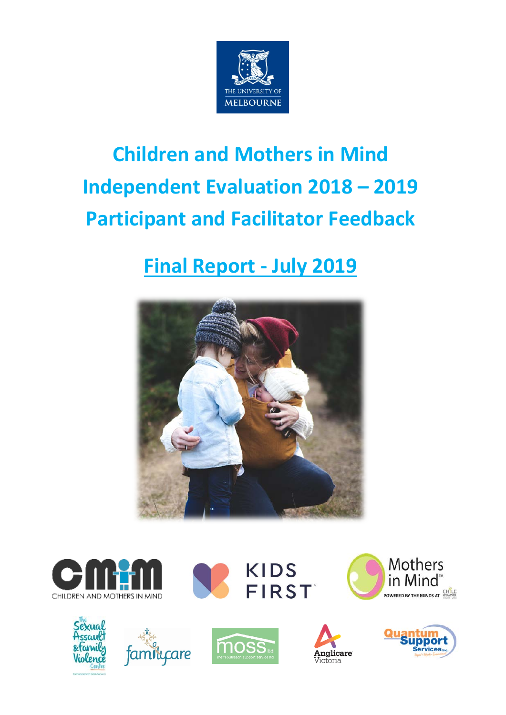

# **Children and Mothers in Mind Independent Evaluation 2018 – 2019 Participant and Facilitator Feedback**

# **Final Report - July 2019**











**KIDS** 

**FIRST** 





POWERED BY THE MINDS AT **EXAMPLE** 

Mothers

in Mind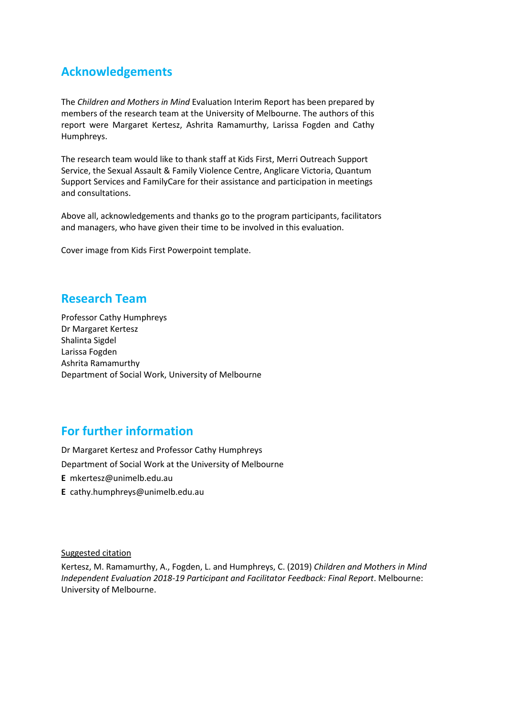# **Acknowledgements**

The *Children and Mothers in Mind* Evaluation Interim Report has been prepared by members of the research team at the University of Melbourne. The authors of this report were Margaret Kertesz, Ashrita Ramamurthy, Larissa Fogden and Cathy Humphreys.

The research team would like to thank staff at Kids First, Merri Outreach Support Service, the Sexual Assault & Family Violence Centre, Anglicare Victoria, Quantum Support Services and FamilyCare for their assistance and participation in meetings and consultations.

Above all, acknowledgements and thanks go to the program participants, facilitators and managers, who have given their time to be involved in this evaluation.

Cover image from Kids First Powerpoint template.

# **Research Team**

Professor Cathy Humphreys Dr Margaret Kertesz Shalinta Sigdel Larissa Fogden Ashrita Ramamurthy Department of Social Work, University of Melbourne

# **For further information**

Dr Margaret Kertesz and Professor Cathy Humphreys Department of Social Work at the University of Melbourne **E** [mkertesz@unimelb.edu.au](mailto:mkertesz@unimelb.edu.au) **E** [cathy.humphreys@unimelb.edu.au](mailto:cathy.humphreys@unimelb.edu.au)

Suggested citation

Kertesz, M. Ramamurthy, A., Fogden, L. and Humphreys, C. (2019) *Children and Mothers in Mind Independent Evaluation 2018-19 Participant and Facilitator Feedback: Final Report*. Melbourne: University of Melbourne.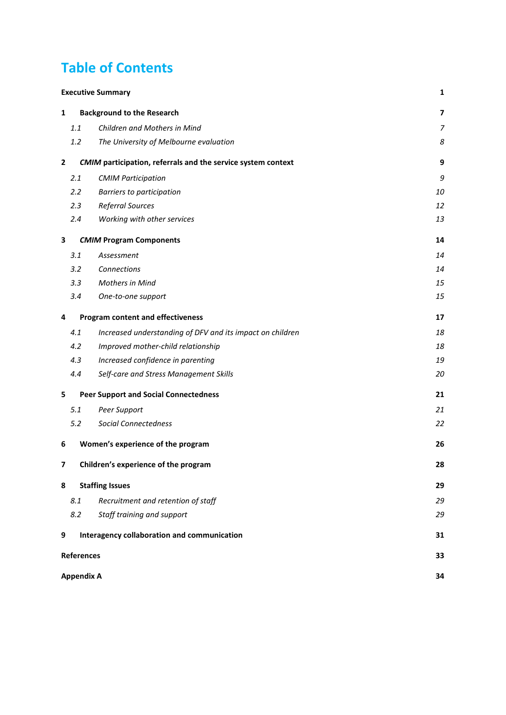# **Table of Contents**

| <b>Executive Summary</b> |     |                                                              |                         |  |
|--------------------------|-----|--------------------------------------------------------------|-------------------------|--|
| 1                        |     | <b>Background to the Research</b>                            | $\overline{\mathbf{z}}$ |  |
|                          | 1.1 | Children and Mothers in Mind                                 | $\overline{z}$          |  |
|                          | 1.2 | The University of Melbourne evaluation                       | 8                       |  |
| $\mathbf{2}$             |     | CMIM participation, referrals and the service system context | 9                       |  |
|                          | 2.1 | <b>CMIM Participation</b>                                    | 9                       |  |
|                          | 2.2 | Barriers to participation                                    | 10                      |  |
|                          | 2.3 | <b>Referral Sources</b>                                      | 12                      |  |
|                          | 2.4 | Working with other services                                  | 13                      |  |
| 3                        |     | <b>CMIM Program Components</b>                               | 14                      |  |
|                          | 3.1 | Assessment                                                   | 14                      |  |
|                          | 3.2 | Connections                                                  | 14                      |  |
|                          | 3.3 | <b>Mothers in Mind</b>                                       | 15                      |  |
|                          | 3.4 | One-to-one support                                           | 15                      |  |
| 4                        |     | <b>Program content and effectiveness</b>                     | 17                      |  |
|                          | 4.1 | Increased understanding of DFV and its impact on children    | 18                      |  |
|                          | 4.2 | Improved mother-child relationship                           | 18                      |  |
|                          | 4.3 | Increased confidence in parenting                            | 19                      |  |
|                          | 4.4 | Self-care and Stress Management Skills                       | 20                      |  |
| 5                        | 21  |                                                              |                         |  |
|                          | 5.1 | Peer Support                                                 | 21                      |  |
|                          | 5.2 | <b>Social Connectedness</b>                                  | 22                      |  |
| 6                        |     | Women's experience of the program                            | 26                      |  |
| 7                        |     | Children's experience of the program                         | 28                      |  |
| 8                        |     | <b>Staffing Issues</b>                                       | 29                      |  |
|                          | 8.1 | Recruitment and retention of staff                           | 29                      |  |
|                          | 8.2 | Staff training and support                                   | 29                      |  |
| 9                        |     | Interagency collaboration and communication                  | 31                      |  |
|                          |     | <b>References</b>                                            | 33                      |  |
|                          |     | <b>Appendix A</b>                                            | 34                      |  |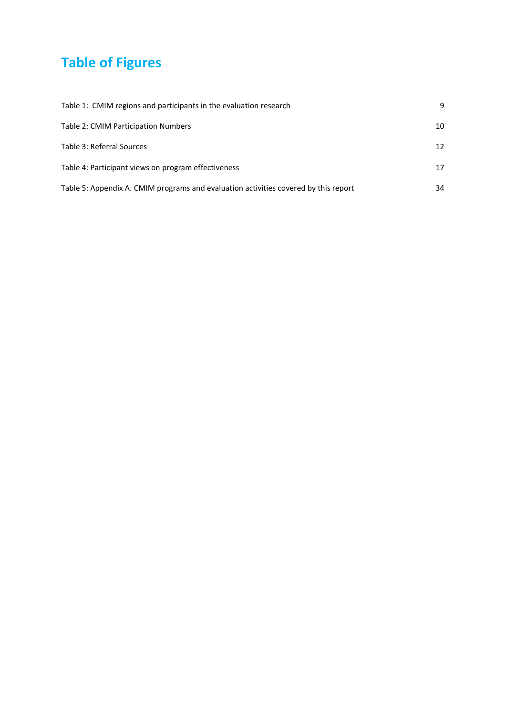# **Table of Figures**

| Table 1: CMIM regions and participants in the evaluation research                   | q  |
|-------------------------------------------------------------------------------------|----|
| Table 2: CMIM Participation Numbers                                                 | 10 |
| Table 3: Referral Sources                                                           | 12 |
| Table 4: Participant views on program effectiveness                                 | 17 |
| Table 5: Appendix A. CMIM programs and evaluation activities covered by this report | 34 |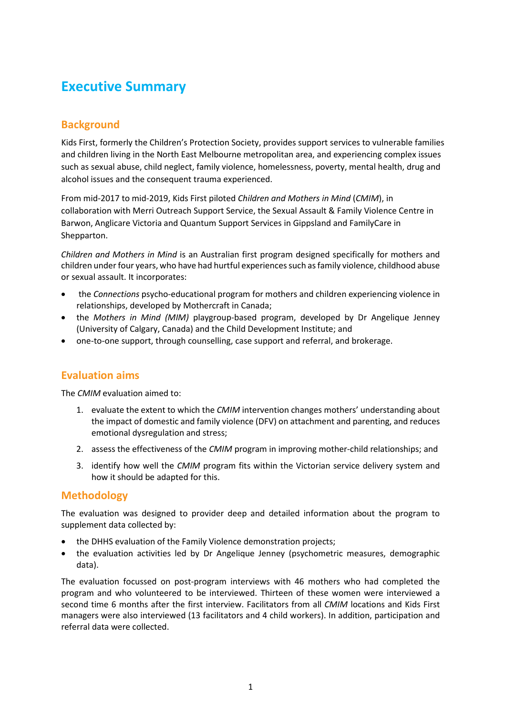# <span id="page-4-0"></span>**Executive Summary**

## **Background**

Kids First, formerly the Children's Protection Society, provides support services to vulnerable families and children living in the North East Melbourne metropolitan area, and experiencing complex issues such as sexual abuse, child neglect, family violence, homelessness, poverty, mental health, drug and alcohol issues and the consequent trauma experienced.

From mid-2017 to mid-2019, Kids First piloted *Children and Mothers in Mind* (*CMIM*), in collaboration with Merri Outreach Support Service, the Sexual Assault & Family Violence Centre in Barwon, Anglicare Victoria and Quantum Support Services in Gippsland and FamilyCare in Shepparton.

*Children and Mothers in Mind* is an Australian first program designed specifically for mothers and children under four years, who have had hurtful experiences such as family violence, childhood abuse or sexual assault. It incorporates:

- the *Connections* psycho-educational program for mothers and children experiencing violence in relationships, developed by Mothercraft in Canada;
- the *Mothers in Mind (MIM)* playgroup-based program, developed by Dr Angelique Jenney (University of Calgary, Canada) and the Child Development Institute; and
- one-to-one support, through counselling, case support and referral, and brokerage.

### **Evaluation aims**

The *CMIM* evaluation aimed to:

- 1. evaluate the extent to which the *CMIM* intervention changes mothers' understanding about the impact of domestic and family violence (DFV) on attachment and parenting, and reduces emotional dysregulation and stress;
- 2. assess the effectiveness of the *CMIM* program in improving mother-child relationships; and
- 3. identify how well the *CMIM* program fits within the Victorian service delivery system and how it should be adapted for this.

### **Methodology**

The evaluation was designed to provider deep and detailed information about the program to supplement data collected by:

- the DHHS evaluation of the Family Violence demonstration projects;
- the evaluation activities led by Dr Angelique Jenney (psychometric measures, demographic data).

The evaluation focussed on post-program interviews with 46 mothers who had completed the program and who volunteered to be interviewed. Thirteen of these women were interviewed a second time 6 months after the first interview. Facilitators from all *CMIM* locations and Kids First managers were also interviewed (13 facilitators and 4 child workers). In addition, participation and referral data were collected.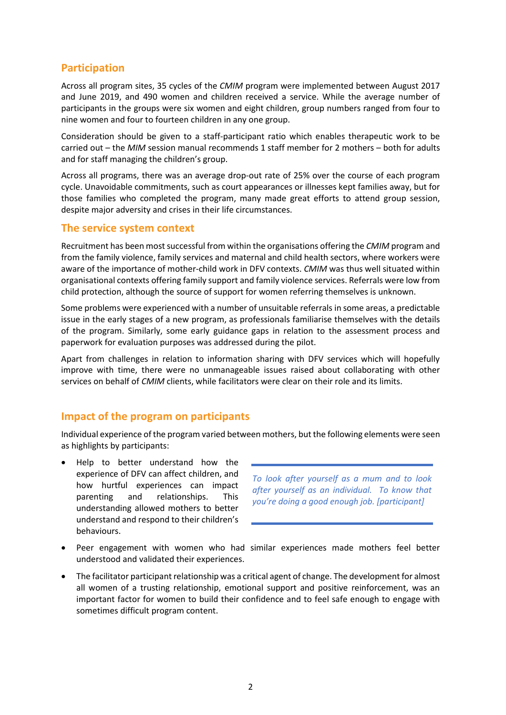### **Participation**

Across all program sites, 35 cycles of the *CMIM* program were implemented between August 2017 and June 2019, and 490 women and children received a service. While the average number of participants in the groups were six women and eight children, group numbers ranged from four to nine women and four to fourteen children in any one group.

Consideration should be given to a staff-participant ratio which enables therapeutic work to be carried out – the *MIM* session manual recommends 1 staff member for 2 mothers – both for adults and for staff managing the children's group.

Across all programs, there was an average drop-out rate of 25% over the course of each program cycle. Unavoidable commitments, such as court appearances or illnesses kept families away, but for those families who completed the program, many made great efforts to attend group session, despite major adversity and crises in their life circumstances.

#### **The service system context**

Recruitment has been most successful from within the organisations offering the *CMIM* program and from the family violence, family services and maternal and child health sectors, where workers were aware of the importance of mother-child work in DFV contexts. *CMIM* was thus well situated within organisational contexts offering family support and family violence services. Referrals were low from child protection, although the source of support for women referring themselves is unknown.

Some problems were experienced with a number of unsuitable referrals in some areas, a predictable issue in the early stages of a new program, as professionals familiarise themselves with the details of the program. Similarly, some early guidance gaps in relation to the assessment process and paperwork for evaluation purposes was addressed during the pilot.

Apart from challenges in relation to information sharing with DFV services which will hopefully improve with time, there were no unmanageable issues raised about collaborating with other services on behalf of *CMIM* clients, while facilitators were clear on their role and its limits.

#### **Impact of the program on participants**

Individual experience of the program varied between mothers, but the following elements were seen as highlights by participants:

• Help to better understand how the experience of DFV can affect children, and how hurtful experiences can impact parenting and relationships. This understanding allowed mothers to better understand and respond to their children's behaviours.

*To look after yourself as a mum and to look after yourself as an individual. To know that you're doing a good enough job. [participant]*

- Peer engagement with women who had similar experiences made mothers feel better understood and validated their experiences.
- The facilitator participant relationship was a critical agent of change. The development for almost all women of a trusting relationship, emotional support and positive reinforcement, was an important factor for women to build their confidence and to feel safe enough to engage with sometimes difficult program content.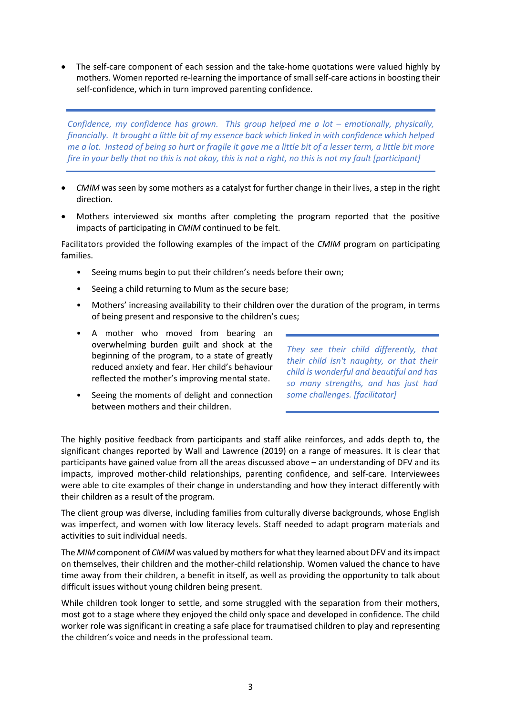• The self-care component of each session and the take-home quotations were valued highly by mothers. Women reported re-learning the importance of small self-care actions in boosting their self-confidence, which in turn improved parenting confidence.

*Confidence, my confidence has grown. This group helped me a lot – emotionally, physically, financially. It brought a little bit of my essence back which linked in with confidence which helped me a lot. Instead of being so hurt or fragile it gave me a little bit of a lesser term, a little bit more fire in your belly that no this is not okay, this is not a right, no this is not my fault [participant]* 

- *CMIM* was seen by some mothers as a catalyst for further change in their lives, a step in the right direction.
- Mothers interviewed six months after completing the program reported that the positive impacts of participating in *CMIM* continued to be felt.

Facilitators provided the following examples of the impact of the *CMIM* program on participating families.

- Seeing mums begin to put their children's needs before their own;
- Seeing a child returning to Mum as the secure base;
- Mothers' increasing availability to their children over the duration of the program, in terms of being present and responsive to the children's cues;
- A mother who moved from bearing an overwhelming burden guilt and shock at the beginning of the program, to a state of greatly reduced anxiety and fear. Her child's behaviour reflected the mother's improving mental state.

*They see their child differently, that their child isn't naughty, or that their child is wonderful and beautiful and has so many strengths, and has just had some challenges. [facilitator]*

Seeing the moments of delight and connection between mothers and their children.

The highly positive feedback from participants and staff alike reinforces, and adds depth to, the significant changes reported by Wall and Lawrence (2019) on a range of measures. It is clear that participants have gained value from all the areas discussed above – an understanding of DFV and its impacts, improved mother-child relationships, parenting confidence, and self-care. Interviewees were able to cite examples of their change in understanding and how they interact differently with their children as a result of the program.

The client group was diverse, including families from culturally diverse backgrounds, whose English was imperfect, and women with low literacy levels. Staff needed to adapt program materials and activities to suit individual needs.

The *MIM* component of *CMIM* was valued by mothers for what they learned about DFV and its impact on themselves, their children and the mother-child relationship. Women valued the chance to have time away from their children, a benefit in itself, as well as providing the opportunity to talk about difficult issues without young children being present.

While children took longer to settle, and some struggled with the separation from their mothers, most got to a stage where they enjoyed the child only space and developed in confidence. The child worker role was significant in creating a safe place for traumatised children to play and representing the children's voice and needs in the professional team.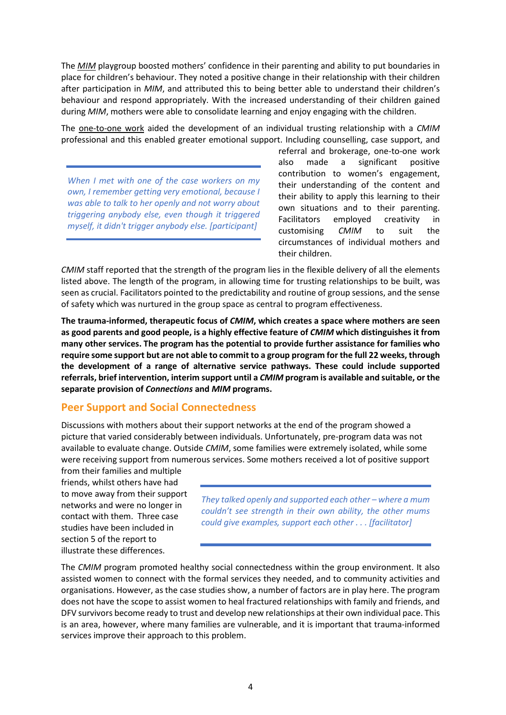The *MIM* playgroup boosted mothers' confidence in their parenting and ability to put boundaries in place for children's behaviour. They noted a positive change in their relationship with their children after participation in *MIM*, and attributed this to being better able to understand their children's behaviour and respond appropriately. With the increased understanding of their children gained during *MIM*, mothers were able to consolidate learning and enjoy engaging with the children.

The one-to-one work aided the development of an individual trusting relationship with a *CMIM* professional and this enabled greater emotional support. Including counselling, case support, and

*When I met with one of the case workers on my own, I remember getting very emotional, because I was able to talk to her openly and not worry about triggering anybody else, even though it triggered myself, it didn't trigger anybody else. [participant]*

referral and brokerage, one-to-one work also made a significant positive contribution to women's engagement, their understanding of the content and their ability to apply this learning to their own situations and to their parenting. Facilitators employed creativity in customising *CMIM* to suit the circumstances of individual mothers and their children.

*CMIM* staff reported that the strength of the program lies in the flexible delivery of all the elements listed above. The length of the program, in allowing time for trusting relationships to be built, was seen as crucial. Facilitators pointed to the predictability and routine of group sessions, and the sense of safety which was nurtured in the group space as central to program effectiveness.

**The trauma-informed, therapeutic focus of** *CMIM***, which creates a space where mothers are seen as good parents and good people, is a highly effective feature of** *CMIM* **which distinguishes it from many other services. The program has the potential to provide further assistance for families who require some support but are not able to commit to a group program for the full 22 weeks, through the development of a range of alternative service pathways. These could include supported referrals, brief intervention, interim support until a** *CMIM* **program is available and suitable, or the separate provision of** *Connections* **and** *MIM* **programs.**

### **Peer Support and Social Connectedness**

Discussions with mothers about their support networks at the end of the program showed a picture that varied considerably between individuals. Unfortunately, pre-program data was not available to evaluate change. Outside *CMIM*, some families were extremely isolated, while some were receiving support from numerous services. Some mothers received a lot of positive support

from their families and multiple friends, whilst others have had to move away from their support networks and were no longer in contact with them. Three case studies have been included in section 5 of the report to illustrate these differences.

*They talked openly and supported each other – where a mum couldn't see strength in their own ability, the other mums could give examples, support each other . . . [facilitator]*

The *CMIM* program promoted healthy social connectedness within the group environment. It also assisted women to connect with the formal services they needed, and to community activities and organisations. However, as the case studies show, a number of factors are in play here. The program does not have the scope to assist women to heal fractured relationships with family and friends, and DFV survivors become ready to trust and develop new relationships at their own individual pace. This is an area, however, where many families are vulnerable, and it is important that trauma-informed services improve their approach to this problem.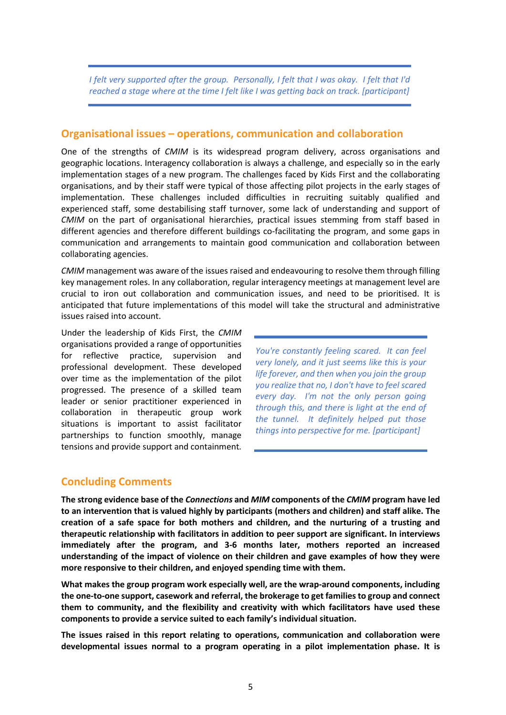*I felt very supported after the group. Personally, I felt that I was okay. I felt that I'd reached a stage where at the time I felt like I was getting back on track. [participant]*

#### **Organisational issues – operations, communication and collaboration**

One of the strengths of *CMIM* is its widespread program delivery, across organisations and geographic locations. Interagency collaboration is always a challenge, and especially so in the early implementation stages of a new program. The challenges faced by Kids First and the collaborating organisations, and by their staff were typical of those affecting pilot projects in the early stages of implementation. These challenges included difficulties in recruiting suitably qualified and experienced staff, some destabilising staff turnover, some lack of understanding and support of *CMIM* on the part of organisational hierarchies, practical issues stemming from staff based in different agencies and therefore different buildings co-facilitating the program, and some gaps in communication and arrangements to maintain good communication and collaboration between collaborating agencies.

*CMIM* management was aware of the issues raised and endeavouring to resolve them through filling key management roles. In any collaboration, regular interagency meetings at management level are crucial to iron out collaboration and communication issues, and need to be prioritised. It is anticipated that future implementations of this model will take the structural and administrative issues raised into account.

Under the leadership of Kids First, the *CMIM* organisations provided a range of opportunities for reflective practice, supervision and professional development. These developed over time as the implementation of the pilot progressed. The presence of a skilled team leader or senior practitioner experienced in collaboration in therapeutic group work situations is important to assist facilitator partnerships to function smoothly, manage tensions and provide support and containment*.*

*You're constantly feeling scared. It can feel very lonely, and it just seems like this is your life forever, and then when you join the group you realize that no, I don't have to feel scared every day. I'm not the only person going through this, and there is light at the end of the tunnel. It definitely helped put those things into perspective for me. [participant]*

#### **Concluding Comments**

**The strong evidence base of the** *Connections* **and** *MIM* **components of the** *CMIM* **program have led to an intervention that is valued highly by participants (mothers and children) and staff alike. The creation of a safe space for both mothers and children, and the nurturing of a trusting and therapeutic relationship with facilitators in addition to peer support are significant. In interviews immediately after the program, and 3-6 months later, mothers reported an increased understanding of the impact of violence on their children and gave examples of how they were more responsive to their children, and enjoyed spending time with them.** 

**What makes the group program work especially well, are the wrap-around components, including the one-to-one support, casework and referral, the brokerage to get families to group and connect them to community, and the flexibility and creativity with which facilitators have used these components to provide a service suited to each family's individual situation.** 

**The issues raised in this report relating to operations, communication and collaboration were developmental issues normal to a program operating in a pilot implementation phase. It is**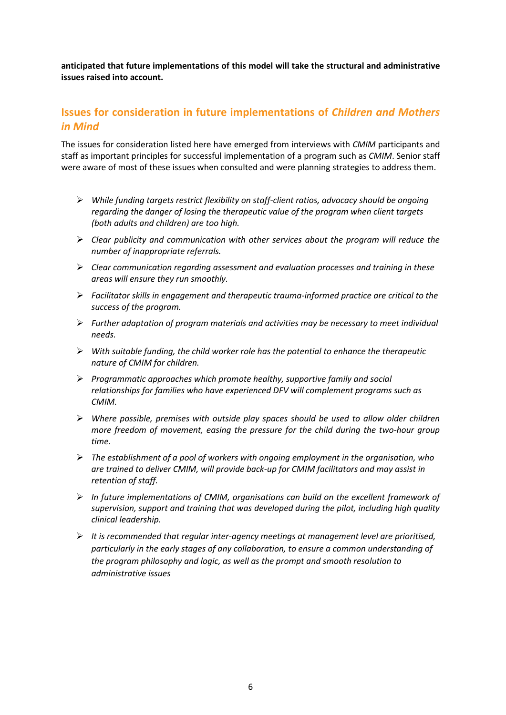**anticipated that future implementations of this model will take the structural and administrative issues raised into account.**

### **Issues for consideration in future implementations of** *Children and Mothers in Mind*

The issues for consideration listed here have emerged from interviews with *CMIM* participants and staff as important principles for successful implementation of a program such as *CMIM*. Senior staff were aware of most of these issues when consulted and were planning strategies to address them.

- *While funding targets restrict flexibility on staff-client ratios, advocacy should be ongoing regarding the danger of losing the therapeutic value of the program when client targets (both adults and children) are too high.*
- *Clear publicity and communication with other services about the program will reduce the number of inappropriate referrals.*
- *Clear communication regarding assessment and evaluation processes and training in these areas will ensure they run smoothly.*
- *Facilitator skills in engagement and therapeutic trauma-informed practice are critical to the success of the program.*
- *Further adaptation of program materials and activities may be necessary to meet individual needs.*
- *With suitable funding, the child worker role has the potential to enhance the therapeutic nature of CMIM for children.*
- *Programmatic approaches which promote healthy, supportive family and social relationships for families who have experienced DFV will complement programs such as CMIM.*
- *Where possible, premises with outside play spaces should be used to allow older children more freedom of movement, easing the pressure for the child during the two-hour group time.*
- *The establishment of a pool of workers with ongoing employment in the organisation, who are trained to deliver CMIM, will provide back-up for CMIM facilitators and may assist in retention of staff.*
- *In future implementations of CMIM, organisations can build on the excellent framework of supervision, support and training that was developed during the pilot, including high quality clinical leadership.*
- *It is recommended that regular inter-agency meetings at management level are prioritised, particularly in the early stages of any collaboration, to ensure a common understanding of the program philosophy and logic, as well as the prompt and smooth resolution to administrative issues*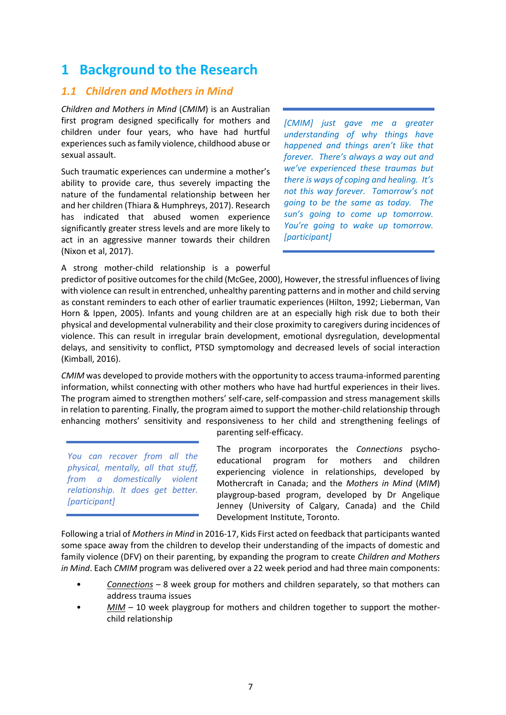# <span id="page-10-0"></span>**1 Background to the Research**

#### <span id="page-10-1"></span>*1.1 Children and Mothers in Mind*

*Children and Mothers in Mind* (*CMIM*) is an Australian first program designed specifically for mothers and children under four years, who have had hurtful experiences such as family violence, childhood abuse or sexual assault.

Such traumatic experiences can undermine a mother's ability to provide care, thus severely impacting the nature of the fundamental relationship between her and her children (Thiara & Humphreys, 2017). Research has indicated that abused women experience significantly greater stress levels and are more likely to act in an aggressive manner towards their children (Nixon et al, 2017).

A strong mother-child relationship is a powerful

*[CMIM] just gave me a greater understanding of why things have happened and things aren't like that forever. There's always a way out and we've experienced these traumas but there is ways of coping and healing. It's not this way forever. Tomorrow's not going to be the same as today. The sun's going to come up tomorrow. You're going to wake up tomorrow. [participant]*

predictor of positive outcomes for the child (McGee, 2000), However, the stressful influences of living with violence can result in entrenched, unhealthy parenting patterns and in mother and child serving as constant reminders to each other of earlier traumatic experiences (Hilton, 1992; Lieberman, Van Horn & Ippen, 2005). Infants and young children are at an especially high risk due to both their physical and developmental vulnerability and their close proximity to caregivers during incidences of violence. This can result in irregular brain development, emotional dysregulation, developmental delays, and sensitivity to conflict, PTSD symptomology and decreased levels of social interaction (Kimball, 2016).

*CMIM* was developed to provide mothers with the opportunity to access trauma-informed parenting information, whilst connecting with other mothers who have had hurtful experiences in their lives. The program aimed to strengthen mothers' self-care, self-compassion and stress management skills in relation to parenting. Finally, the program aimed to support the mother-child relationship through enhancing mothers' sensitivity and responsiveness to her child and strengthening feelings of

*You can recover from all the physical, mentally, all that stuff, from a domestically violent relationship. It does get better. [participant]*

parenting self-efficacy.

The program incorporates the *Connections* psychoeducational program for mothers and children experiencing violence in relationships, developed by Mothercraft in Canada; and the *Mothers in Mind* (*MIM*) playgroup-based program, developed by Dr Angelique Jenney (University of Calgary, Canada) and the Child Development Institute, Toronto.

Following a trial of *Mothers in Mind* in 2016-17, Kids First acted on feedback that participants wanted some space away from the children to develop their understanding of the impacts of domestic and family violence (DFV) on their parenting, by expanding the program to create *Children and Mothers in Mind*. Each *CMIM* program was delivered over a 22 week period and had three main components:

- *Connections* 8 week group for mothers and children separately, so that mothers can address trauma issues
- *MIM* 10 week playgroup for mothers and children together to support the motherchild relationship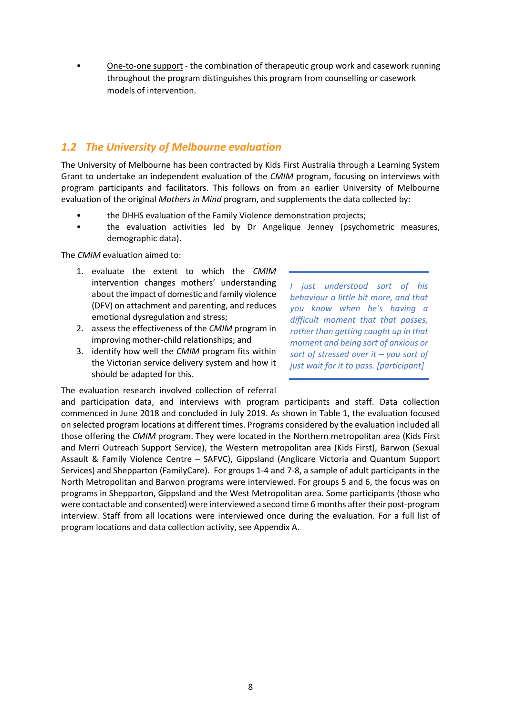• One-to-one support - the combination of therapeutic group work and casework running throughout the program distinguishes this program from counselling or casework models of intervention.

#### <span id="page-11-0"></span>*1.2 The University of Melbourne evaluation*

The University of Melbourne has been contracted by Kids First Australia through a Learning System Grant to undertake an independent evaluation of the *CMIM* program, focusing on interviews with program participants and facilitators. This follows on from an earlier University of Melbourne evaluation of the original *Mothers in Mind* program, and supplements the data collected by:

- the DHHS evaluation of the Family Violence demonstration projects;
- the evaluation activities led by Dr Angelique Jenney (psychometric measures, demographic data).

The *CMIM* evaluation aimed to:

- 1. evaluate the extent to which the *CMIM* intervention changes mothers' understanding about the impact of domestic and family violence (DFV) on attachment and parenting, and reduces emotional dysregulation and stress;
- 2. assess the effectiveness of the *CMIM* program in improving mother-child relationships; and
- 3. identify how well the *CMIM* program fits within the Victorian service delivery system and how it should be adapted for this.

The evaluation research involved collection of referral

*I just understood sort of his behaviour a little bit more, and that you know when he's having a difficult moment that that passes, rather than getting caught up in that moment and being sort of anxious or sort of stressed over it – you sort of just wait for it to pass. [participant]*

and participation data, and interviews with program participants and staff. Data collection commenced in June 2018 and concluded in July 2019. As shown in Table 1, the evaluation focused on selected program locations at different times. Programs considered by the evaluation included all those offering the *CMIM* program. They were located in the Northern metropolitan area (Kids First and Merri Outreach Support Service), the Western metropolitan area (Kids First), Barwon (Sexual Assault & Family Violence Centre – SAFVC), Gippsland (Anglicare Victoria and Quantum Support Services) and Shepparton (FamilyCare). For groups 1-4 and 7-8, a sample of adult participants in the North Metropolitan and Barwon programs were interviewed. For groups 5 and 6, the focus was on programs in Shepparton, Gippsland and the West Metropolitan area. Some participants (those who were contactable and consented) were interviewed a second time 6 months after their post-program interview. Staff from all locations were interviewed once during the evaluation. For a full list of program locations and data collection activity, see Appendix A.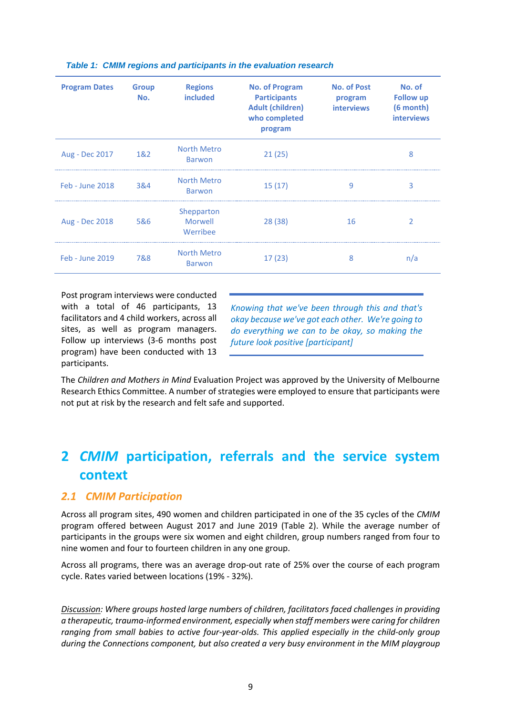| <b>Program Dates</b> | <b>Group</b><br>No. | <b>Regions</b><br><b>included</b> | <b>No. of Program</b><br><b>Participants</b><br><b>Adult (children)</b><br>who completed<br>program | <b>No. of Post</b><br>program<br><b>interviews</b> | No. of<br><b>Follow up</b><br>$(6$ month $)$<br><b>interviews</b> |
|----------------------|---------------------|-----------------------------------|-----------------------------------------------------------------------------------------------------|----------------------------------------------------|-------------------------------------------------------------------|
| Aug - Dec 2017       | 1&2                 | North Metro<br><b>Barwon</b>      | 21(25)                                                                                              |                                                    | 8                                                                 |
| Feb - June 2018      | 3&4                 | North Metro<br><b>Barwon</b>      | 15(17)                                                                                              | 9                                                  | 3                                                                 |
| Aug - Dec 2018       | 5&6                 | Shepparton<br>Morwell<br>Werribee | 28 (38)                                                                                             | 16                                                 |                                                                   |
| Feb - June 2019      | 7&8                 | North Metro<br><b>Barwon</b>      | 17(23)                                                                                              | 8                                                  | n/a                                                               |

#### <span id="page-12-2"></span>*Table 1: CMIM regions and participants in the evaluation research*

Post program interviews were conducted with a total of 46 participants, 13 facilitators and 4 child workers, across all sites, as well as program managers. Follow up interviews (3-6 months post program) have been conducted with 13 participants.

*Knowing that we've been through this and that's okay because we've got each other. We're going to do everything we can to be okay, so making the future look positive [participant]*

The *Children and Mothers in Mind* Evaluation Project was approved by the University of Melbourne Research Ethics Committee. A number of strategies were employed to ensure that participants were not put at risk by the research and felt safe and supported.

# <span id="page-12-0"></span>**2** *CMIM* **participation, referrals and the service system context**

#### <span id="page-12-1"></span>*2.1 CMIM Participation*

Across all program sites, 490 women and children participated in one of the 35 cycles of the *CMIM* program offered between August 2017 and June 2019 (Table 2). While the average number of participants in the groups were six women and eight children, group numbers ranged from four to nine women and four to fourteen children in any one group.

Across all programs, there was an average drop-out rate of 25% over the course of each program cycle. Rates varied between locations (19% - 32%).

*Discussion: Where groups hosted large numbers of children, facilitators faced challenges in providing a therapeutic, trauma-informed environment, especially when staff members were caring for children ranging from small babies to active four-year-olds. This applied especially in the child-only group during the Connections component, but also created a very busy environment in the MIM playgroup*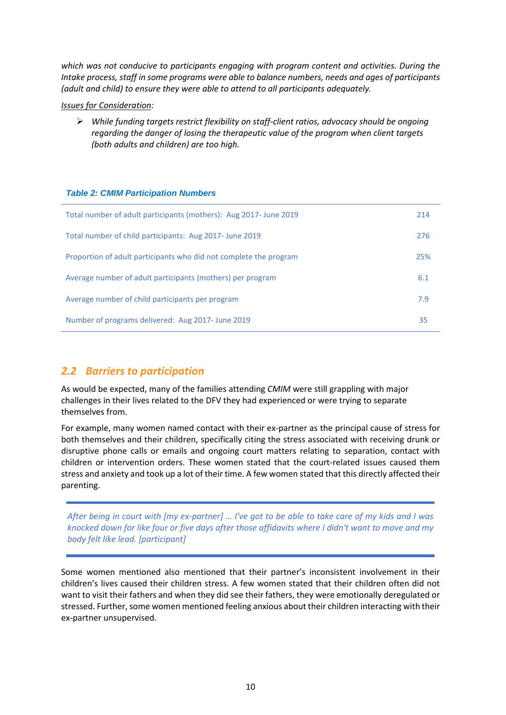*which was not conducive to participants engaging with program content and activities. During the Intake process, staff in some programs were able to balance numbers, needs and ages of participants (adult and child) to ensure they were able to attend to all participants adequately.*

#### *Issues for Consideration:*

 *While funding targets restrict flexibility on staff-client ratios, advocacy should be ongoing regarding the danger of losing the therapeutic value of the program when client targets (both adults and children) are too high.*

#### <span id="page-13-1"></span>*Table 2: CMIM Participation Numbers*

| Total number of adult participants (mothers): Aug 2017- June 2019 | 214 |
|-------------------------------------------------------------------|-----|
| Total number of child participants: Aug 2017- June 2019           | 276 |
| Proportion of adult participants who did not complete the program | 25% |
| Average number of adult participants (mothers) per program        | 6.1 |
| Average number of child participants per program                  | 7.9 |
| Number of programs delivered: Aug 2017- June 2019                 | 35  |

### <span id="page-13-0"></span>*2.2 Barriers to participation*

As would be expected, many of the families attending *CMIM* were still grappling with major challenges in their lives related to the DFV they had experienced or were trying to separate themselves from.

For example, many women named contact with their ex-partner as the principal cause of stress for both themselves and their children, specifically citing the stress associated with receiving drunk or disruptive phone calls or emails and ongoing court matters relating to separation, contact with children or intervention orders. These women stated that the court-related issues caused them stress and anxiety and took up a lot of their time. A few women stated that this directly affected their parenting.

*After being in court with [my ex-partner] … I've got to be able to take care of my kids and I was knocked down for like four or five days after those affidavits where I didn't want to move and my body felt like lead. [participant]*

Some women mentioned also mentioned that their partner's inconsistent involvement in their children's lives caused their children stress. A few women stated that their children often did not want to visit their fathers and when they did see their fathers, they were emotionally deregulated or stressed. Further, some women mentioned feeling anxious about their children interacting with their ex-partner unsupervised.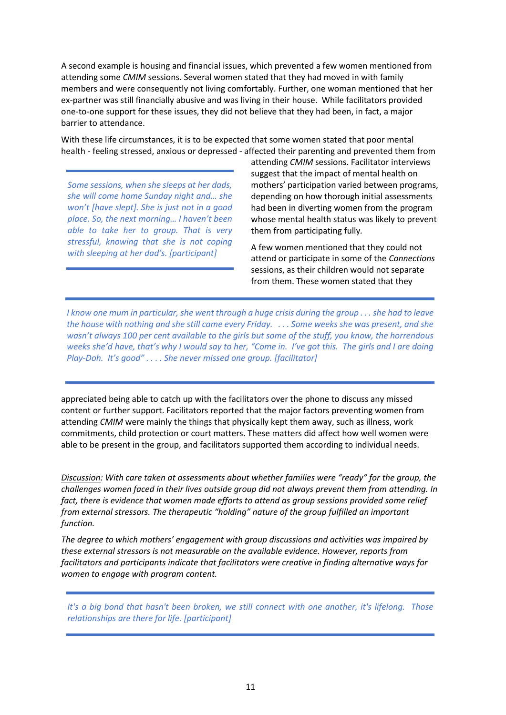A second example is housing and financial issues, which prevented a few women mentioned from attending some *CMIM* sessions. Several women stated that they had moved in with family members and were consequently not living comfortably. Further, one woman mentioned that her ex-partner was still financially abusive and was living in their house. While facilitators provided one-to-one support for these issues, they did not believe that they had been, in fact, a major barrier to attendance.

With these life circumstances, it is to be expected that some women stated that poor mental health - feeling stressed, anxious or depressed - affected their parenting and prevented them from

*Some sessions, when she sleeps at her dads, she will come home Sunday night and… she won't [have slept]. She is just not in a good place. So, the next morning… I haven't been able to take her to group. That is very stressful, knowing that she is not coping with sleeping at her dad's. [participant]*

attending *CMIM* sessions. Facilitator interviews suggest that the impact of mental health on mothers' participation varied between programs, depending on how thorough initial assessments had been in diverting women from the program whose mental health status was likely to prevent them from participating fully*.*

A few women mentioned that they could not attend or participate in some of the *Connections* sessions, as their children would not separate from them. These women stated that they

*I know one mum in particular, she went through a huge crisis during the group . . . she had to leave the house with nothing and she still came every Friday. . . . Some weeks she was present, and she wasn't always 100 per cent available to the girls but some of the stuff, you know, the horrendous weeks she'd have, that's why I would say to her, "Come in. I've got this. The girls and I are doing Play-Doh. It's good" . . . . She never missed one group. [facilitator]*

appreciated being able to catch up with the facilitators over the phone to discuss any missed content or further support. Facilitators reported that the major factors preventing women from attending *CMIM* were mainly the things that physically kept them away, such as illness, work commitments, child protection or court matters. These matters did affect how well women were able to be present in the group, and facilitators supported them according to individual needs.

*Discussion: With care taken at assessments about whether families were "ready" for the group, the challenges women faced in their lives outside group did not always prevent them from attending. In*  fact, there is evidence that women made efforts to attend as group sessions provided some relief *from external stressors. The therapeutic "holding" nature of the group fulfilled an important function.* 

*The degree to which mothers' engagement with group discussions and activities was impaired by these external stressors is not measurable on the available evidence. However, reports from facilitators and participants indicate that facilitators were creative in finding alternative ways for women to engage with program content.* 

*It's a big bond that hasn't been broken, we still connect with one another, it's lifelong. Those relationships are there for life. [participant]*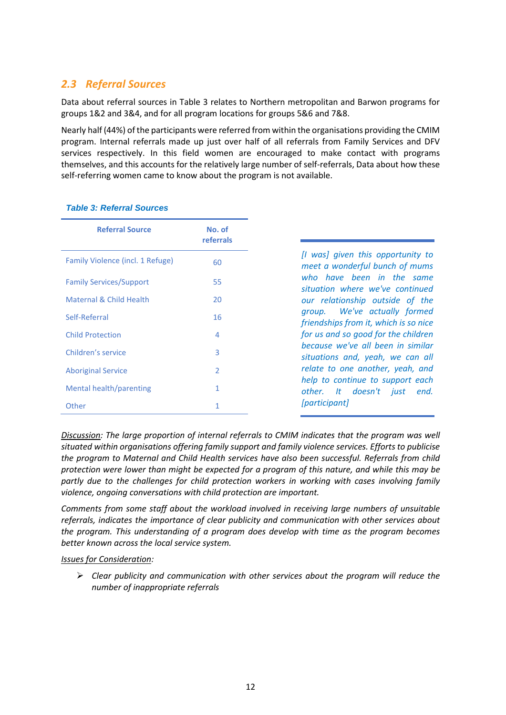### <span id="page-15-0"></span>*2.3 Referral Sources*

Data about referral sources in Table 3 relates to Northern metropolitan and Barwon programs for groups 1&2 and 3&4, and for all program locations for groups 5&6 and 7&8.

Nearly half (44%) of the participants were referred from within the organisations providing the CMIM program. Internal referrals made up just over half of all referrals from Family Services and DFV services respectively. In this field women are encouraged to make contact with programs themselves, and this accounts for the relatively large number of self-referrals, Data about how these self-referring women came to know about the program is not available.

| <b>Referral Source</b>           | No. of<br>referrals |                                                                       |
|----------------------------------|---------------------|-----------------------------------------------------------------------|
| Family Violence (incl. 1 Refuge) | 60                  | [I was] given this opportunity to<br>meet a wonderful bunch of mums   |
| <b>Family Services/Support</b>   | 55                  | who have been in the same<br>situation where we've continued          |
| Maternal & Child Health          | 20                  | our relationship outside of the                                       |
| Self-Referral                    | 16                  | group. We've actually formed<br>friendships from it, which is so nice |
| <b>Child Protection</b>          | 4                   | for us and so good for the children                                   |
| Children's service               | 3                   | because we've all been in similar<br>situations and, yeah, we can all |
| <b>Aboriginal Service</b>        | $\overline{2}$      | relate to one another, yeah, and                                      |
| Mental health/parenting          | 1                   | help to continue to support each<br>other. It doesn't just end.       |
| <b>Other</b>                     | 1.                  | <i>[participant]</i>                                                  |

#### <span id="page-15-1"></span>*Table 3: Referral Sources*

*Discussion: The large proportion of internal referrals to CMIM indicates that the program was well situated within organisations offering family support and family violence services. Efforts to publicise the program to Maternal and Child Health services have also been successful. Referrals from child protection were lower than might be expected for a program of this nature, and while this may be partly due to the challenges for child protection workers in working with cases involving family violence, ongoing conversations with child protection are important.*

*Comments from some staff about the workload involved in receiving large numbers of unsuitable referrals, indicates the importance of clear publicity and communication with other services about the program. This understanding of a program does develop with time as the program becomes better known across the local service system.*

#### *Issues for Consideration:*

 *Clear publicity and communication with other services about the program will reduce the number of inappropriate referrals*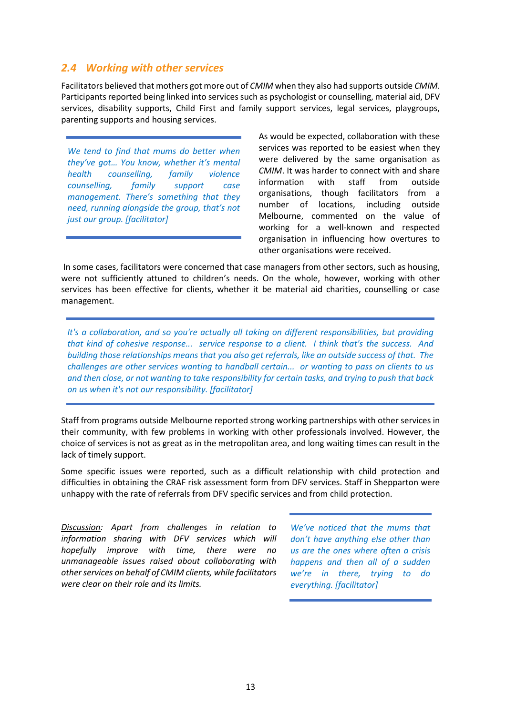#### <span id="page-16-0"></span>*2.4 Working with other services*

Facilitators believed that mothers got more out of *CMIM* when they also had supports outside *CMIM*. Participants reported being linked into services such as psychologist or counselling, material aid, DFV services, disability supports, Child First and family support services, legal services, playgroups, parenting supports and housing services.

*We tend to find that mums do better when they've got… You know, whether it's mental health counselling, family violence counselling, family support case management. There's something that they need, running alongside the group, that's not just our group. [facilitator]*

As would be expected, collaboration with these services was reported to be easiest when they were delivered by the same organisation as *CMIM*. It was harder to connect with and share information with staff from outside organisations, though facilitators from a number of locations, including outside Melbourne, commented on the value of working for a well-known and respected organisation in influencing how overtures to other organisations were received.

In some cases, facilitators were concerned that case managers from other sectors, such as housing, were not sufficiently attuned to children's needs. On the whole, however, working with other services has been effective for clients, whether it be material aid charities, counselling or case management.

*It's a collaboration, and so you're actually all taking on different responsibilities, but providing that kind of cohesive response... service response to a client. I think that's the success. And building those relationships means that you also get referrals, like an outside success of that. The challenges are other services wanting to handball certain... or wanting to pass on clients to us and then close, or not wanting to take responsibility for certain tasks, and trying to push that back on us when it's not our responsibility. [facilitator]*

Staff from programs outside Melbourne reported strong working partnerships with other services in their community, with few problems in working with other professionals involved. However, the choice of services is not as great as in the metropolitan area, and long waiting times can result in the lack of timely support.

Some specific issues were reported, such as a difficult relationship with child protection and difficulties in obtaining the CRAF risk assessment form from DFV services. Staff in Shepparton were unhappy with the rate of referrals from DFV specific services and from child protection.

*Discussion: Apart from challenges in relation to information sharing with DFV services which will hopefully improve with time, there were no unmanageable issues raised about collaborating with other services on behalf of CMIM clients, while facilitators were clear on their role and its limits.*

*We've noticed that the mums that don't have anything else other than us are the ones where often a crisis happens and then all of a sudden we're in there, trying to do everything. [facilitator]*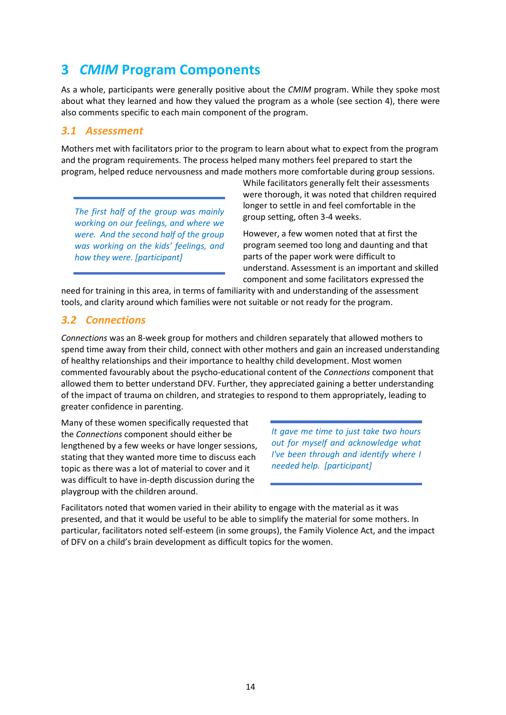# <span id="page-17-0"></span>**3** *CMIM* **Program Components**

As a whole, participants were generally positive about the *CMIM* program. While they spoke most about what they learned and how they valued the program as a whole (see section 4), there were also comments specific to each main component of the program.

#### <span id="page-17-1"></span>*3.1 Assessment*

Mothers met with facilitators prior to the program to learn about what to expect from the program and the program requirements. The process helped many mothers feel prepared to start the program, helped reduce nervousness and made mothers more comfortable during group sessions.

*The first half of the group was mainly working on our feelings, and where we were. And the second half of the group was working on the kids' feelings, and how they were. [participant]*

While facilitators generally felt their assessments were thorough, it was noted that children required longer to settle in and feel comfortable in the group setting, often 3-4 weeks.

However, a few women noted that at first the program seemed too long and daunting and that parts of the paper work were difficult to understand. Assessment is an important and skilled component and some facilitators expressed the

need for training in this area, in terms of familiarity with and understanding of the assessment tools, and clarity around which families were not suitable or not ready for the program.

#### <span id="page-17-2"></span>*3.2 Connections*

*Connections* was an 8-week group for mothers and children separately that allowed mothers to spend time away from their child, connect with other mothers and gain an increased understanding of healthy relationships and their importance to healthy child development. Most women commented favourably about the psycho-educational content of the *Connections* component that allowed them to better understand DFV. Further, they appreciated gaining a better understanding of the impact of trauma on children, and strategies to respond to them appropriately, leading to greater confidence in parenting.

Many of these women specifically requested that the *Connections* component should either be lengthened by a few weeks or have longer sessions, stating that they wanted more time to discuss each topic as there was a lot of material to cover and it was difficult to have in-depth discussion during the playgroup with the children around.

*It gave me time to just take two hours out for myself and acknowledge what I've been through and identify where I needed help. [participant]*

Facilitators noted that women varied in their ability to engage with the material as it was presented, and that it would be useful to be able to simplify the material for some mothers. In particular, facilitators noted self-esteem (in some groups), the Family Violence Act, and the impact of DFV on a child's brain development as difficult topics for the women.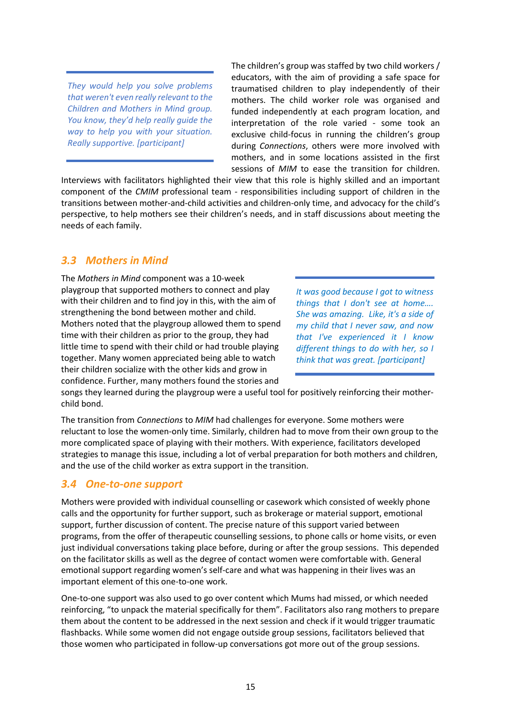*They would help you solve problems that weren't even really relevant to the Children and Mothers in Mind group. You know, they'd help really guide the way to help you with your situation. Really supportive. [participant]*

The children's group was staffed by two child workers / educators, with the aim of providing a safe space for traumatised children to play independently of their mothers. The child worker role was organised and funded independently at each program location, and interpretation of the role varied - some took an exclusive child-focus in running the children's group during *Connections*, others were more involved with mothers, and in some locations assisted in the first sessions of *MIM* to ease the transition for children.

Interviews with facilitators highlighted their view that this role is highly skilled and an important component of the *CMIM* professional team - responsibilities including support of children in the transitions between mother-and-child activities and children-only time, and advocacy for the child's perspective, to help mothers see their children's needs, and in staff discussions about meeting the needs of each family.

### <span id="page-18-0"></span>*3.3 Mothers in Mind*

The *Mothers in Mind* component was a 10-week playgroup that supported mothers to connect and play with their children and to find joy in this, with the aim of strengthening the bond between mother and child. Mothers noted that the playgroup allowed them to spend time with their children as prior to the group, they had little time to spend with their child or had trouble playing together. Many women appreciated being able to watch their children socialize with the other kids and grow in confidence. Further, many mothers found the stories and

*It was good because I got to witness things that I don't see at home…. She was amazing. Like, it's a side of my child that I never saw, and now that I've experienced it I know different things to do with her, so I think that was great. [participant]*

songs they learned during the playgroup were a useful tool for positively reinforcing their motherchild bond.

The transition from *Connections* to *MIM* had challenges for everyone. Some mothers were reluctant to lose the women-only time. Similarly, children had to move from their own group to the more complicated space of playing with their mothers. With experience, facilitators developed strategies to manage this issue, including a lot of verbal preparation for both mothers and children, and the use of the child worker as extra support in the transition.

### <span id="page-18-1"></span>*3.4 One-to-one support*

Mothers were provided with individual counselling or casework which consisted of weekly phone calls and the opportunity for further support, such as brokerage or material support, emotional support, further discussion of content. The precise nature of this support varied between programs, from the offer of therapeutic counselling sessions, to phone calls or home visits, or even just individual conversations taking place before, during or after the group sessions. This depended on the facilitator skills as well as the degree of contact women were comfortable with. General emotional support regarding women's self-care and what was happening in their lives was an important element of this one-to-one work.

One-to-one support was also used to go over content which Mums had missed, or which needed reinforcing, "to unpack the material specifically for them". Facilitators also rang mothers to prepare them about the content to be addressed in the next session and check if it would trigger traumatic flashbacks. While some women did not engage outside group sessions, facilitators believed that those women who participated in follow-up conversations got more out of the group sessions.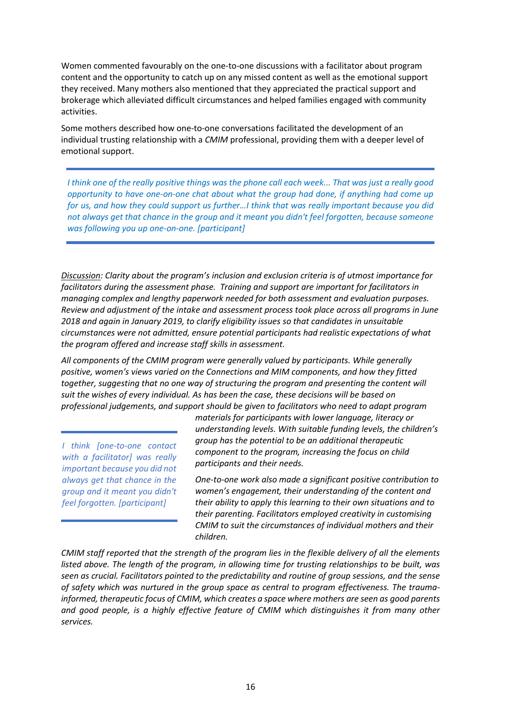Women commented favourably on the one-to-one discussions with a facilitator about program content and the opportunity to catch up on any missed content as well as the emotional support they received. Many mothers also mentioned that they appreciated the practical support and brokerage which alleviated difficult circumstances and helped families engaged with community activities.

Some mothers described how one-to-one conversations facilitated the development of an individual trusting relationship with a *CMIM* professional, providing them with a deeper level of emotional support.

*I think one of the really positive things was the phone call each week... That was just a really good opportunity to have one-on-one chat about what the group had done, if anything had come up for us, and how they could support us further…I think that was really important because you did not always get that chance in the group and it meant you didn't feel forgotten, because someone was following you up one-on-one. [participant]*

*Discussion: Clarity about the program's inclusion and exclusion criteria is of utmost importance for facilitators during the assessment phase. Training and support are important for facilitators in managing complex and lengthy paperwork needed for both assessment and evaluation purposes. Review and adjustment of the intake and assessment process took place across all programs in June 2018 and again in January 2019, to clarify eligibility issues so that candidates in unsuitable circumstances were not admitted, ensure potential participants had realistic expectations of what the program offered and increase staff skills in assessment.*

*All components of the CMIM program were generally valued by participants. While generally positive, women's views varied on the Connections and MIM components, and how they fitted together, suggesting that no one way of structuring the program and presenting the content will suit the wishes of every individual. As has been the case, these decisions will be based on professional judgements, and support should be given to facilitators who need to adapt program* 

*I think [one-to-one contact with a facilitator] was really important because you did not always get that chance in the group and it meant you didn't feel forgotten. [participant]*

*materials for participants with lower language, literacy or understanding levels. With suitable funding levels, the children's group has the potential to be an additional therapeutic component to the program, increasing the focus on child participants and their needs.*

*One-to-one work also made a significant positive contribution to women's engagement, their understanding of the content and their ability to apply this learning to their own situations and to their parenting. Facilitators employed creativity in customising CMIM to suit the circumstances of individual mothers and their children.* 

*CMIM staff reported that the strength of the program lies in the flexible delivery of all the elements listed above. The length of the program, in allowing time for trusting relationships to be built, was seen as crucial. Facilitators pointed to the predictability and routine of group sessions, and the sense of safety which was nurtured in the group space as central to program effectiveness. The traumainformed, therapeutic focus of CMIM, which creates a space where mothers are seen as good parents and good people, is a highly effective feature of CMIM which distinguishes it from many other services.*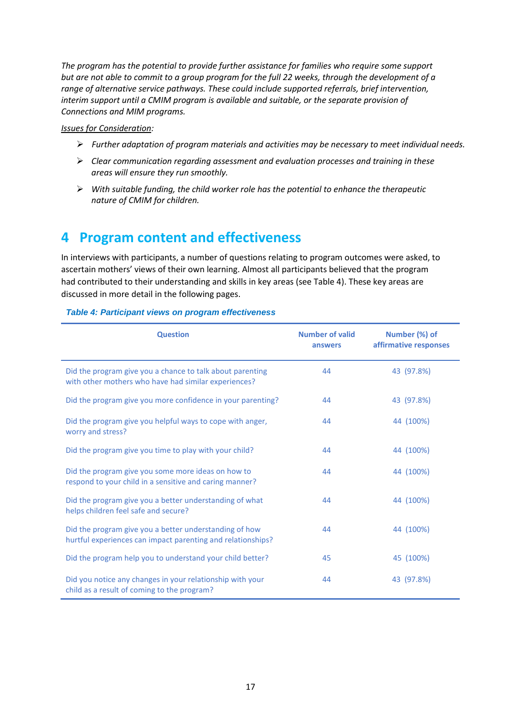*The program has the potential to provide further assistance for families who require some support but are not able to commit to a group program for the full 22 weeks, through the development of a range of alternative service pathways. These could include supported referrals, brief intervention, interim support until a CMIM program is available and suitable, or the separate provision of Connections and MIM programs.*

#### *Issues for Consideration:*

- *Further adaptation of program materials and activities may be necessary to meet individual needs.*
- *Clear communication regarding assessment and evaluation processes and training in these areas will ensure they run smoothly.*
- *With suitable funding, the child worker role has the potential to enhance the therapeutic nature of CMIM for children.*

# <span id="page-20-0"></span>**4 Program content and effectiveness**

In interviews with participants, a number of questions relating to program outcomes were asked, to ascertain mothers' views of their own learning. Almost all participants believed that the program had contributed to their understanding and skills in key areas (see Table 4). These key areas are discussed in more detail in the following pages.

| <b>Question</b>                                                                                                       | <b>Number of valid</b><br>answers | Number (%) of<br>affirmative responses |
|-----------------------------------------------------------------------------------------------------------------------|-----------------------------------|----------------------------------------|
| Did the program give you a chance to talk about parenting<br>with other mothers who have had similar experiences?     | 44                                | 43 (97.8%)                             |
| Did the program give you more confidence in your parenting?                                                           | 44                                | 43 (97.8%)                             |
| Did the program give you helpful ways to cope with anger,<br>worry and stress?                                        | 44                                | 44 (100%)                              |
| Did the program give you time to play with your child?                                                                | 44                                | 44 (100%)                              |
| Did the program give you some more ideas on how to<br>respond to your child in a sensitive and caring manner?         | 44                                | 44 (100%)                              |
| Did the program give you a better understanding of what<br>helps children feel safe and secure?                       | 44                                | 44 (100%)                              |
| Did the program give you a better understanding of how<br>hurtful experiences can impact parenting and relationships? | 44                                | 44 (100%)                              |
| Did the program help you to understand your child better?                                                             | 45                                | 45 (100%)                              |
| Did you notice any changes in your relationship with your<br>child as a result of coming to the program?              | 44                                | 43 (97.8%)                             |

#### <span id="page-20-1"></span>*Table 4: Participant views on program effectiveness*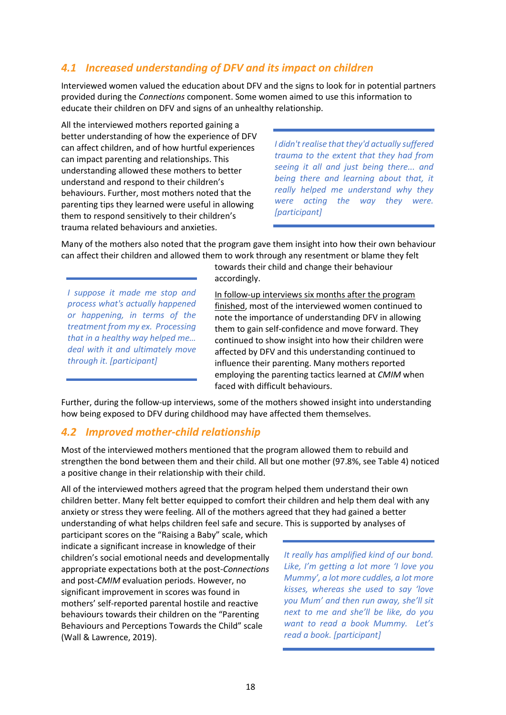## <span id="page-21-0"></span>*4.1 Increased understanding of DFV and its impact on children*

Interviewed women valued the education about DFV and the signs to look for in potential partners provided during the *Connections* component. Some women aimed to use this information to educate their children on DFV and signs of an unhealthy relationship.

All the interviewed mothers reported gaining a better understanding of how the experience of DFV can affect children, and of how hurtful experiences can impact parenting and relationships. This understanding allowed these mothers to better understand and respond to their children's behaviours. Further, most mothers noted that the parenting tips they learned were useful in allowing them to respond sensitively to their children's trauma related behaviours and anxieties.

*I didn't realise that they'd actually suffered trauma to the extent that they had from seeing it all and just being there... and being there and learning about that, it really helped me understand why they were acting the way they were. [participant]*

Many of the mothers also noted that the program gave them insight into how their own behaviour can affect their children and allowed them to work through any resentment or blame they felt

*I suppose it made me stop and process what's actually happened or happening, in terms of the treatment from my ex. Processing that in a healthy way helped me… deal with it and ultimately move through it. [participant]*

towards their child and change their behaviour accordingly.

In follow-up interviews six months after the program finished, most of the interviewed women continued to note the importance of understanding DFV in allowing them to gain self-confidence and move forward. They continued to show insight into how their children were affected by DFV and this understanding continued to influence their parenting. Many mothers reported employing the parenting tactics learned at *CMIM* when faced with difficult behaviours.

Further, during the follow-up interviews, some of the mothers showed insight into understanding how being exposed to DFV during childhood may have affected them themselves.

### <span id="page-21-1"></span>*4.2 Improved mother-child relationship*

Most of the interviewed mothers mentioned that the program allowed them to rebuild and strengthen the bond between them and their child. All but one mother (97.8%, see Table 4) noticed a positive change in their relationship with their child.

All of the interviewed mothers agreed that the program helped them understand their own children better. Many felt better equipped to comfort their children and help them deal with any anxiety or stress they were feeling. All of the mothers agreed that they had gained a better understanding of what helps children feel safe and secure. This is supported by analyses of

participant scores on the "Raising a Baby" scale, which indicate a significant increase in knowledge of their children's social emotional needs and developmentally appropriate expectations both at the post-*Connections* and post-*CMIM* evaluation periods. However, no significant improvement in scores was found in mothers' self-reported parental hostile and reactive behaviours towards their children on the "Parenting Behaviours and Perceptions Towards the Child" scale (Wall & Lawrence, 2019).

*It really has amplified kind of our bond. Like, I'm getting a lot more 'I love you Mummy', a lot more cuddles, a lot more kisses, whereas she used to say 'love you Mum' and then run away, she'll sit next to me and she'll be like, do you want to read a book Mummy. Let's read a book. [participant]*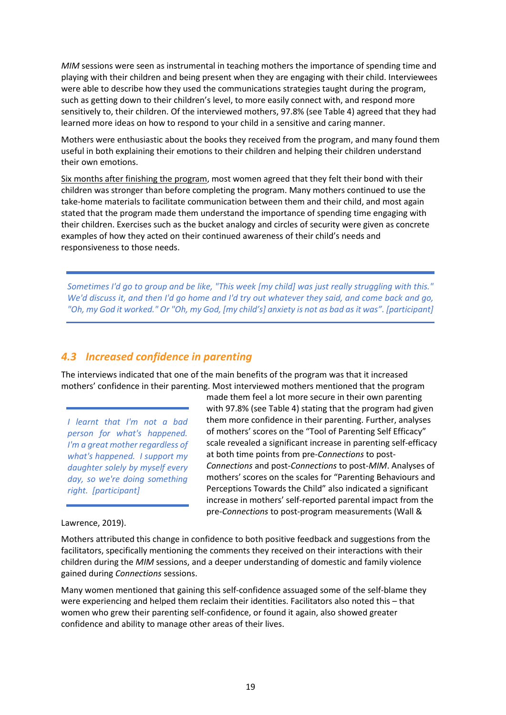*MIM* sessions were seen as instrumental in teaching mothers the importance of spending time and playing with their children and being present when they are engaging with their child. Interviewees were able to describe how they used the communications strategies taught during the program, such as getting down to their children's level, to more easily connect with, and respond more sensitively to, their children. Of the interviewed mothers, 97.8% (see Table 4) agreed that they had learned more ideas on how to respond to your child in a sensitive and caring manner.

Mothers were enthusiastic about the books they received from the program, and many found them useful in both explaining their emotions to their children and helping their children understand their own emotions.

Six months after finishing the program, most women agreed that they felt their bond with their children was stronger than before completing the program. Many mothers continued to use the take-home materials to facilitate communication between them and their child, and most again stated that the program made them understand the importance of spending time engaging with their children. Exercises such as the bucket analogy and circles of security were given as concrete examples of how they acted on their continued awareness of their child's needs and responsiveness to those needs.

*Sometimes I'd go to group and be like, "This week [my child] was just really struggling with this." We'd discuss it, and then I'd go home and I'd try out whatever they said, and come back and go, "Oh, my God it worked." Or "Oh, my God, [my child's] anxiety is not as bad as it was". [participant]*

#### <span id="page-22-0"></span>*4.3 Increased confidence in parenting*

The interviews indicated that one of the main benefits of the program was that it increased mothers' confidence in their parenting. Most interviewed mothers mentioned that the program

*I learnt that I'm not a bad person for what's happened. I'm a great mother regardless of what's happened. I support my daughter solely by myself every day, so we're doing something right. [participant]*

made them feel a lot more secure in their own parenting with 97.8% (see Table 4) stating that the program had given them more confidence in their parenting. Further, analyses of mothers' scores on the "Tool of Parenting Self Efficacy" scale revealed a significant increase in parenting self-efficacy at both time points from pre-*Connections* to post-*Connections* and post-*Connections* to post-*MIM*. Analyses of mothers' scores on the scales for "Parenting Behaviours and Perceptions Towards the Child" also indicated a significant increase in mothers' self-reported parental impact from the pre-*Connections* to post-program measurements (Wall &

#### Lawrence, 2019).

Mothers attributed this change in confidence to both positive feedback and suggestions from the facilitators, specifically mentioning the comments they received on their interactions with their children during the *MIM* sessions, and a deeper understanding of domestic and family violence gained during *Connections* sessions.

Many women mentioned that gaining this self-confidence assuaged some of the self-blame they were experiencing and helped them reclaim their identities. Facilitators also noted this – that women who grew their parenting self-confidence, or found it again, also showed greater confidence and ability to manage other areas of their lives.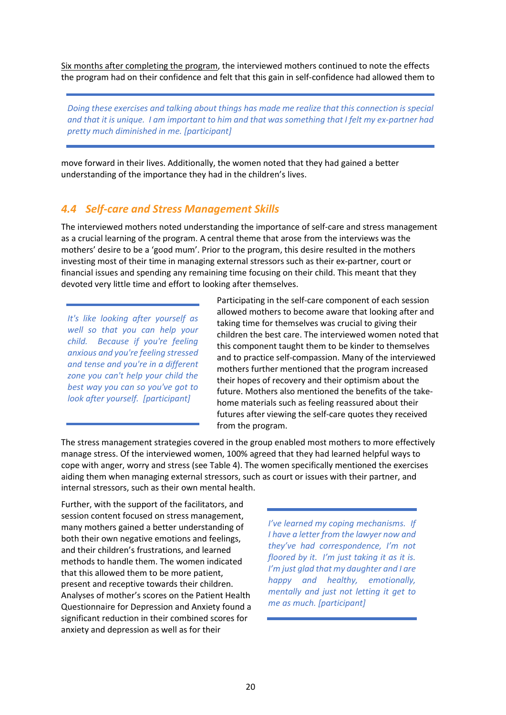Six months after completing the program, the interviewed mothers continued to note the effects the program had on their confidence and felt that this gain in self-confidence had allowed them to

*Doing these exercises and talking about things has made me realize that this connection is special and that it is unique. I am important to him and that was something that I felt my ex-partner had pretty much diminished in me. [participant]*

move forward in their lives. Additionally, the women noted that they had gained a better understanding of the importance they had in the children's lives.

#### <span id="page-23-0"></span>*4.4 Self-care and Stress Management Skills*

The interviewed mothers noted understanding the importance of self-care and stress management as a crucial learning of the program. A central theme that arose from the interviews was the mothers' desire to be a 'good mum'. Prior to the program, this desire resulted in the mothers investing most of their time in managing external stressors such as their ex-partner, court or financial issues and spending any remaining time focusing on their child. This meant that they devoted very little time and effort to looking after themselves.

*It's like looking after yourself as well so that you can help your child. Because if you're feeling anxious and you're feeling stressed and tense and you're in a different zone you can't help your child the best way you can so you've got to look after yourself. [participant]*

Participating in the self-care component of each session allowed mothers to become aware that looking after and taking time for themselves was crucial to giving their children the best care. The interviewed women noted that this component taught them to be kinder to themselves and to practice self-compassion. Many of the interviewed mothers further mentioned that the program increased their hopes of recovery and their optimism about the future. Mothers also mentioned the benefits of the takehome materials such as feeling reassured about their futures after viewing the self-care quotes they received from the program.

The stress management strategies covered in the group enabled most mothers to more effectively manage stress. Of the interviewed women, 100% agreed that they had learned helpful ways to cope with anger, worry and stress (see Table 4). The women specifically mentioned the exercises aiding them when managing external stressors, such as court or issues with their partner, and internal stressors, such as their own mental health.

Further, with the support of the facilitators, and session content focused on stress management, many mothers gained a better understanding of both their own negative emotions and feelings, and their children's frustrations, and learned methods to handle them. The women indicated that this allowed them to be more patient, present and receptive towards their children. Analyses of mother's scores on the Patient Health Questionnaire for Depression and Anxiety found a significant reduction in their combined scores for anxiety and depression as well as for their

*I've learned my coping mechanisms. If I have a letter from the lawyer now and they've had correspondence, I'm not floored by it. I'm just taking it as it is. I'm just glad that my daughter and I are happy and healthy, emotionally, mentally and just not letting it get to me as much. [participant]*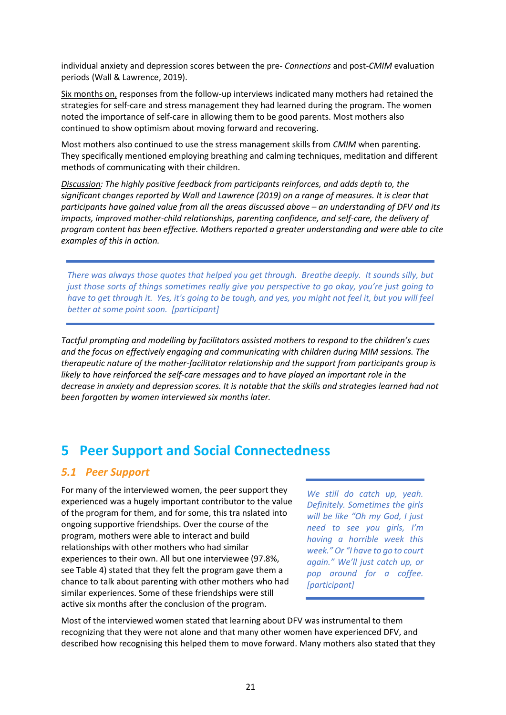individual anxiety and depression scores between the pre- *Connections* and post-*CMIM* evaluation periods (Wall & Lawrence, 2019).

Six months on, responses from the follow-up interviews indicated many mothers had retained the strategies for self-care and stress management they had learned during the program. The women noted the importance of self-care in allowing them to be good parents. Most mothers also continued to show optimism about moving forward and recovering.

Most mothers also continued to use the stress management skills from *CMIM* when parenting. They specifically mentioned employing breathing and calming techniques, meditation and different methods of communicating with their children.

*Discussion: The highly positive feedback from participants reinforces, and adds depth to, the significant changes reported by Wall and Lawrence (2019) on a range of measures. It is clear that participants have gained value from all the areas discussed above – an understanding of DFV and its impacts, improved mother-child relationships, parenting confidence, and self-care, the delivery of program content has been effective. Mothers reported a greater understanding and were able to cite examples of this in action.*

*There was always those quotes that helped you get through. Breathe deeply. It sounds silly, but just those sorts of things sometimes really give you perspective to go okay, you're just going to have to get through it. Yes, it's going to be tough, and yes, you might not feel it, but you will feel better at some point soon. [participant]*

*Tactful prompting and modelling by facilitators assisted mothers to respond to the children's cues and the focus on effectively engaging and communicating with children during MIM sessions. The therapeutic nature of the mother-facilitator relationship and the support from participants group is*  likely to have reinforced the self-care messages and to have played an important role in the *decrease in anxiety and depression scores. It is notable that the skills and strategies learned had not been forgotten by women interviewed six months later.*

# <span id="page-24-0"></span>**5 Peer Support and Social Connectedness**

### <span id="page-24-1"></span>*5.1 Peer Support*

For many of the interviewed women, the peer support they experienced was a hugely important contributor to the value of the program for them, and for some, this tra nslated into ongoing supportive friendships. Over the course of the program, mothers were able to interact and build relationships with other mothers who had similar experiences to their own. All but one interviewee (97.8%, see Table 4) stated that they felt the program gave them a chance to talk about parenting with other mothers who had similar experiences. Some of these friendships were still active six months after the conclusion of the program.

*We still do catch up, yeah. Definitely. Sometimes the girls will be like "Oh my God, I just need to see you girls, I'm having a horrible week this week." Or "I have to go to court again." We'll just catch up, or pop around for a coffee. [participant]*

Most of the interviewed women stated that learning about DFV was instrumental to them recognizing that they were not alone and that many other women have experienced DFV, and described how recognising this helped them to move forward. Many mothers also stated that they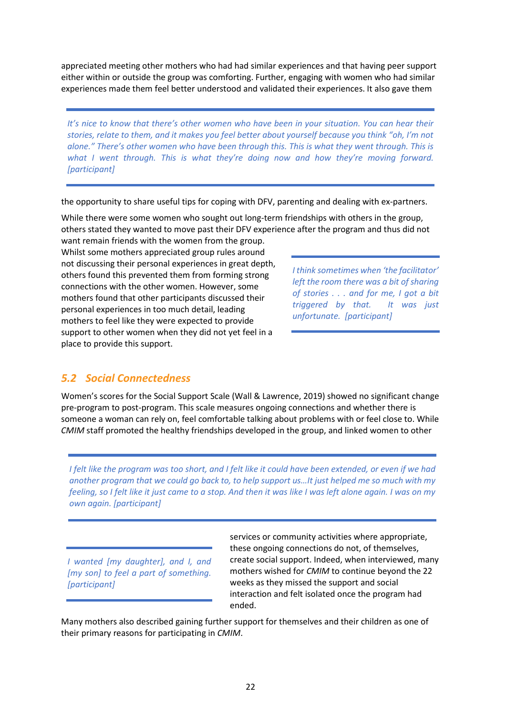appreciated meeting other mothers who had had similar experiences and that having peer support either within or outside the group was comforting. Further, engaging with women who had similar experiences made them feel better understood and validated their experiences. It also gave them

*It's nice to know that there's other women who have been in your situation. You can hear their stories, relate to them, and it makes you feel better about yourself because you think "oh, I'm not alone." There's other women who have been through this. This is what they went through. This is what I went through. This is what they're doing now and how they're moving forward. [participant]*

the opportunity to share useful tips for coping with DFV, parenting and dealing with ex-partners.

While there were some women who sought out long-term friendships with others in the group, others stated they wanted to move past their DFV experience after the program and thus did not

want remain friends with the women from the group. Whilst some mothers appreciated group rules around not discussing their personal experiences in great depth, others found this prevented them from forming strong connections with the other women. However, some mothers found that other participants discussed their personal experiences in too much detail, leading mothers to feel like they were expected to provide support to other women when they did not yet feel in a place to provide this support.

*I think sometimes when 'the facilitator' left the room there was a bit of sharing of stories . . . and for me, I got a bit triggered by that. It was just unfortunate. [participant]*

### <span id="page-25-0"></span>*5.2 Social Connectedness*

Women's scores for the Social Support Scale (Wall & Lawrence, 2019) showed no significant change pre-program to post-program. This scale measures ongoing connections and whether there is someone a woman can rely on, feel comfortable talking about problems with or feel close to. While *CMIM* staff promoted the healthy friendships developed in the group, and linked women to other

*I felt like the program was too short, and I felt like it could have been extended, or even if we had another program that we could go back to, to help support us…It just helped me so much with my feeling, so I felt like it just came to a stop. And then it was like I was left alone again. I was on my own again. [participant]*

*I wanted [my daughter], and I, and [my son] to feel a part of something. [participant]*

services or community activities where appropriate, these ongoing connections do not, of themselves, create social support. Indeed, when interviewed, many mothers wished for *CMIM* to continue beyond the 22 weeks as they missed the support and social interaction and felt isolated once the program had ended.

Many mothers also described gaining further support for themselves and their children as one of their primary reasons for participating in *CMIM*.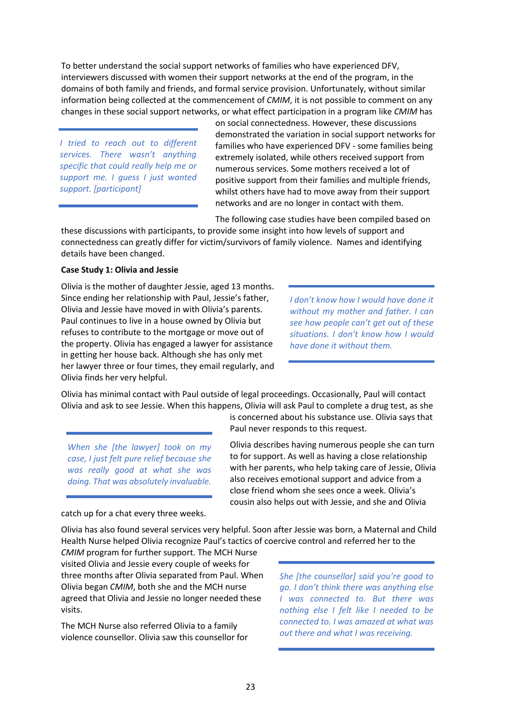To better understand the social support networks of families who have experienced DFV, interviewers discussed with women their support networks at the end of the program, in the domains of both family and friends, and formal service provision. Unfortunately, without similar information being collected at the commencement of *CMIM*, it is not possible to comment on any changes in these social support networks, or what effect participation in a program like *CMIM* has

*I tried to reach out to different services. There wasn't anything specific that could really help me or support me. I guess I just wanted support. [participant]*

on social connectedness. However, these discussions demonstrated the variation in social support networks for families who have experienced DFV - some families being extremely isolated, while others received support from numerous services. Some mothers received a lot of positive support from their families and multiple friends, whilst others have had to move away from their support networks and are no longer in contact with them.

The following case studies have been compiled based on

is concerned about his substance use. Olivia says that

Olivia describes having numerous people she can turn to for support. As well as having a close relationship with her parents, who help taking care of Jessie, Olivia also receives emotional support and advice from a close friend whom she sees once a week. Olivia's cousin also helps out with Jessie, and she and Olivia

Paul never responds to this request.

these discussions with participants, to provide some insight into how levels of support and connectedness can greatly differ for victim/survivors of family violence. Names and identifying details have been changed.

#### **Case Study 1: Olivia and Jessie**

Olivia is the mother of daughter Jessie, aged 13 months. Since ending her relationship with Paul, Jessie's father, Olivia and Jessie have moved in with Olivia's parents. Paul continues to live in a house owned by Olivia but refuses to contribute to the mortgage or move out of the property. Olivia has engaged a lawyer for assistance in getting her house back. Although she has only met her lawyer three or four times, they email regularly, and Olivia finds her very helpful.

*I don't know how I would have done it without my mother and father. I can see how people can't get out of these situations. I don't know how I would have done it without them.* 

Olivia has minimal contact with Paul outside of legal proceedings. Occasionally, Paul will contact Olivia and ask to see Jessie. When this happens, Olivia will ask Paul to complete a drug test, as she

*When she [the lawyer] took on my case, I just felt pure relief because she was really good at what she was doing. That was absolutely invaluable.*

catch up for a chat every three weeks.

Olivia has also found several services very helpful. Soon after Jessie was born, a Maternal and Child Health Nurse helped Olivia recognize Paul's tactics of coercive control and referred her to the

*CMIM* program for further support. The MCH Nurse visited Olivia and Jessie every couple of weeks for three months after Olivia separated from Paul. When Olivia began *CMIM*, both she and the MCH nurse agreed that Olivia and Jessie no longer needed these visits.

The MCH Nurse also referred Olivia to a family violence counsellor. Olivia saw this counsellor for *She [the counsellor] said you're good to go. I don't think there was anything else I was connected to. But there was nothing else I felt like I needed to be connected to. I was amazed at what was out there and what I was receiving.*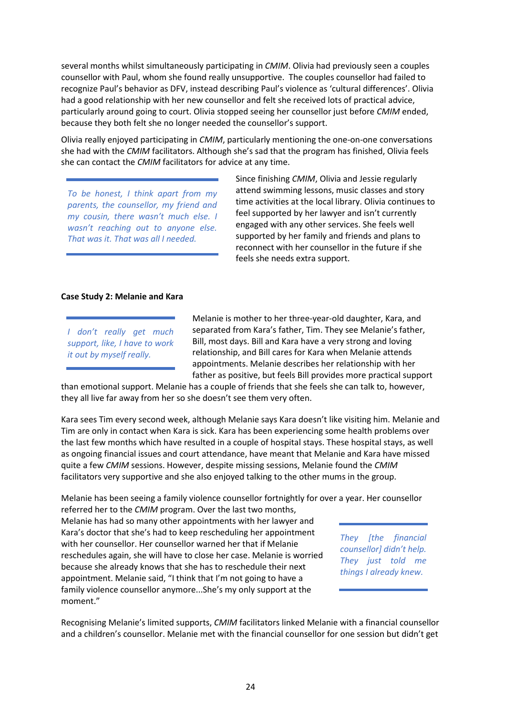several months whilst simultaneously participating in *CMIM*. Olivia had previously seen a couples counsellor with Paul, whom she found really unsupportive. The couples counsellor had failed to recognize Paul's behavior as DFV, instead describing Paul's violence as 'cultural differences'. Olivia had a good relationship with her new counsellor and felt she received lots of practical advice, particularly around going to court. Olivia stopped seeing her counsellor just before *CMIM* ended, because they both felt she no longer needed the counsellor's support.

Olivia really enjoyed participating in *CMIM*, particularly mentioning the one-on-one conversations she had with the *CMIM* facilitators. Although she's sad that the program has finished, Olivia feels she can contact the *CMIM* facilitators for advice at any time.

*To be honest, I think apart from my parents, the counsellor, my friend and my cousin, there wasn't much else. I wasn't reaching out to anyone else. That was it. That was all I needed.*

Since finishing *CMIM*, Olivia and Jessie regularly attend swimming lessons, music classes and story time activities at the local library. Olivia continues to feel supported by her lawyer and isn't currently engaged with any other services. She feels well supported by her family and friends and plans to reconnect with her counsellor in the future if she feels she needs extra support.

#### **Case Study 2: Melanie and Kara**

*I don't really get much support, like, I have to work it out by myself really.*

Melanie is mother to her three-year-old daughter, Kara, and separated from Kara's father, Tim. They see Melanie's father, Bill, most days. Bill and Kara have a very strong and loving relationship, and Bill cares for Kara when Melanie attends appointments. Melanie describes her relationship with her father as positive, but feels Bill provides more practical support

than emotional support. Melanie has a couple of friends that she feels she can talk to, however, they all live far away from her so she doesn't see them very often.

Kara sees Tim every second week, although Melanie says Kara doesn't like visiting him. Melanie and Tim are only in contact when Kara is sick. Kara has been experiencing some health problems over the last few months which have resulted in a couple of hospital stays. These hospital stays, as well as ongoing financial issues and court attendance, have meant that Melanie and Kara have missed quite a few *CMIM* sessions. However, despite missing sessions, Melanie found the *CMIM* facilitators very supportive and she also enjoyed talking to the other mums in the group.

Melanie has been seeing a family violence counsellor fortnightly for over a year. Her counsellor

referred her to the *CMIM* program. Over the last two months, Melanie has had so many other appointments with her lawyer and Kara's doctor that she's had to keep rescheduling her appointment with her counsellor. Her counsellor warned her that if Melanie reschedules again, she will have to close her case. Melanie is worried because she already knows that she has to reschedule their next appointment. Melanie said, "I think that I'm not going to have a family violence counsellor anymore...She's my only support at the moment."

*They [the financial counsellor] didn't help. They just told me things I already knew.*

Recognising Melanie's limited supports, *CMIM* facilitators linked Melanie with a financial counsellor and a children's counsellor. Melanie met with the financial counsellor for one session but didn't get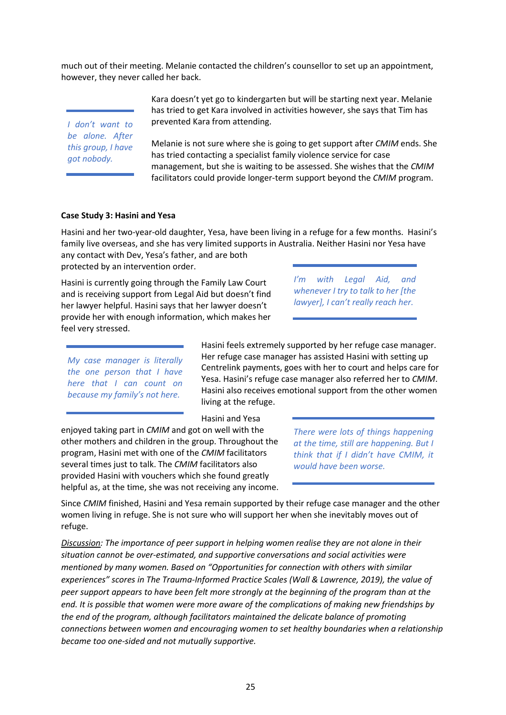much out of their meeting. Melanie contacted the children's counsellor to set up an appointment, however, they never called her back.

*I don't want to be alone. After this group, I have got nobody.*

Kara doesn't yet go to kindergarten but will be starting next year. Melanie has tried to get Kara involved in activities however, she says that Tim has prevented Kara from attending.

Melanie is not sure where she is going to get support after *CMIM* ends. She has tried contacting a specialist family violence service for case management, but she is waiting to be assessed. She wishes that the *CMIM* facilitators could provide longer-term support beyond the *CMIM* program.

#### **Case Study 3: Hasini and Yesa**

Hasini and her two-year-old daughter, Yesa, have been living in a refuge for a few months. Hasini's family live overseas, and she has very limited supports in Australia. Neither Hasini nor Yesa have

any contact with Dev, Yesa's father, and are both protected by an intervention order.

Hasini is currently going through the Family Law Court and is receiving support from Legal Aid but doesn't find her lawyer helpful. Hasini says that her lawyer doesn't provide her with enough information, which makes her feel very stressed.

*I'm with Legal Aid, and whenever I try to talk to her [the lawyer], I can't really reach her.*

*My case manager is literally the one person that I have here that I can count on because my family's not here.*

Hasini feels extremely supported by her refuge case manager. Her refuge case manager has assisted Hasini with setting up Centrelink payments, goes with her to court and helps care for Yesa. Hasini's refuge case manager also referred her to *CMIM*. Hasini also receives emotional support from the other women living at the refuge.

Hasini and Yesa

enjoyed taking part in *CMIM* and got on well with the other mothers and children in the group. Throughout the program, Hasini met with one of the *CMIM* facilitators several times just to talk. The *CMIM* facilitators also provided Hasini with vouchers which she found greatly helpful as, at the time, she was not receiving any income.

*There were lots of things happening at the time, still are happening. But I think that if I didn't have CMIM, it would have been worse.*

Since *CMIM* finished, Hasini and Yesa remain supported by their refuge case manager and the other women living in refuge. She is not sure who will support her when she inevitably moves out of refuge.

*Discussion: The importance of peer support in helping women realise they are not alone in their situation cannot be over-estimated, and supportive conversations and social activities were mentioned by many women. Based on "Opportunities for connection with others with similar experiences" scores in The Trauma-Informed Practice Scales (Wall & Lawrence, 2019), the value of peer support appears to have been felt more strongly at the beginning of the program than at the end. It is possible that women were more aware of the complications of making new friendships by the end of the program, although facilitators maintained the delicate balance of promoting connections between women and encouraging women to set healthy boundaries when a relationship became too one-sided and not mutually supportive.*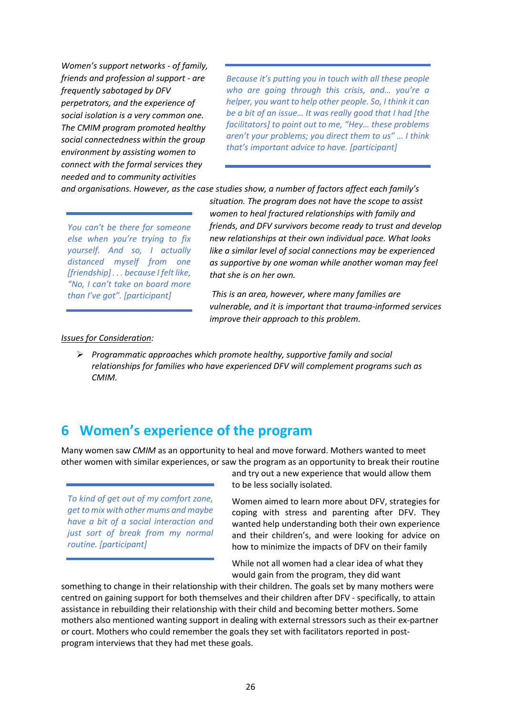*Women's support networks - of family, friends and profession al support - are frequently sabotaged by DFV perpetrators, and the experience of social isolation is a very common one. The CMIM program promoted healthy social connectedness within the group environment by assisting women to connect with the formal services they needed and to community activities* 

*Because it's putting you in touch with all these people who are going through this crisis, and… you're a helper, you want to help other people. So, I think it can be a bit of an issue… It was really good that I had [the facilitators] to point out to me, "Hey… these problems aren't your problems; you direct them to us" … I think that's important advice to have. [participant]*

*and organisations. However, as the case studies show, a number of factors affect each family's* 

*You can't be there for someone else when you're trying to fix yourself. And so, I actually distanced myself from one [friendship] . . . because I felt like, "No, I can't take on board more than I've got". [participant]*

*situation. The program does not have the scope to assist women to heal fractured relationships with family and friends, and DFV survivors become ready to trust and develop new relationships at their own individual pace. What looks like a similar level of social connections may be experienced as supportive by one woman while another woman may feel that she is on her own.*

*This is an area, however, where many families are vulnerable, and it is important that trauma-informed services improve their approach to this problem.*

#### *Issues for Consideration:*

 *Programmatic approaches which promote healthy, supportive family and social relationships for families who have experienced DFV will complement programs such as CMIM.*

# <span id="page-29-0"></span>**6 Women's experience of the program**

Many women saw *CMIM* as an opportunity to heal and move forward. Mothers wanted to meet other women with similar experiences, or saw the program as an opportunity to break their routine

*To kind of get out of my comfort zone, get to mix with other mums and maybe have a bit of a social interaction and just sort of break from my normal routine. [participant]*

and try out a new experience that would allow them to be less socially isolated.

Women aimed to learn more about DFV, strategies for coping with stress and parenting after DFV. They wanted help understanding both their own experience and their children's, and were looking for advice on how to minimize the impacts of DFV on their family

While not all women had a clear idea of what they would gain from the program, they did want

something to change in their relationship with their children. The goals set by many mothers were centred on gaining support for both themselves and their children after DFV - specifically, to attain assistance in rebuilding their relationship with their child and becoming better mothers. Some mothers also mentioned wanting support in dealing with external stressors such as their ex-partner or court. Mothers who could remember the goals they set with facilitators reported in postprogram interviews that they had met these goals.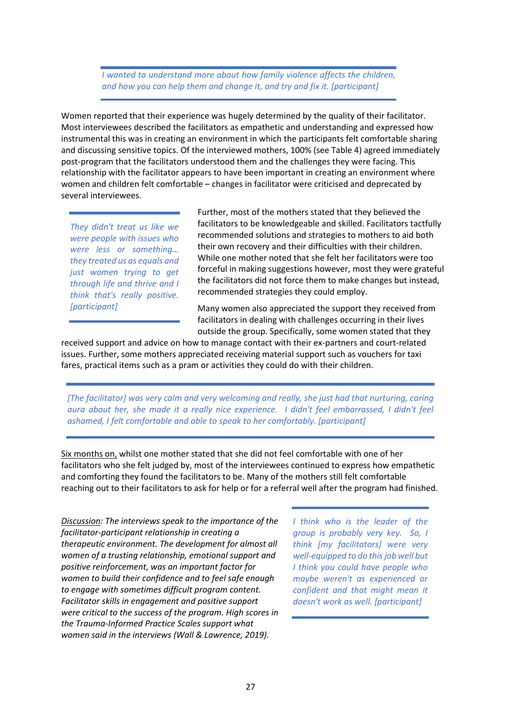*I wanted to understand more about how family violence affects the children, and how you can help them and change it, and try and fix it. [participant]*

Women reported that their experience was hugely determined by the quality of their facilitator. Most interviewees described the facilitators as empathetic and understanding and expressed how instrumental this was in creating an environment in which the participants felt comfortable sharing and discussing sensitive topics. Of the interviewed mothers, 100% (see Table 4) agreed immediately post-program that the facilitators understood them and the challenges they were facing. This relationship with the facilitator appears to have been important in creating an environment where women and children felt comfortable – changes in facilitator were criticised and deprecated by several interviewees.

*They didn't treat us like we were people with issues who were less or something… they treated us as equals and just women trying to get through life and thrive and I think that's really positive. [participant]*

Further, most of the mothers stated that they believed the facilitators to be knowledgeable and skilled. Facilitators tactfully recommended solutions and strategies to mothers to aid both their own recovery and their difficulties with their children. While one mother noted that she felt her facilitators were too forceful in making suggestions however, most they were grateful the facilitators did not force them to make changes but instead, recommended strategies they could employ.

Many women also appreciated the support they received from facilitators in dealing with challenges occurring in their lives outside the group. Specifically, some women stated that they

received support and advice on how to manage contact with their ex-partners and court-related issues. Further, some mothers appreciated receiving material support such as vouchers for taxi fares, practical items such as a pram or activities they could do with their children.

*[The facilitator] was very calm and very welcoming and really, she just had that nurturing, caring aura about her, she made it a really nice experience. I didn't feel embarrassed, I didn't feel ashamed, I felt comfortable and able to speak to her comfortably. [participant]*

Six months on, whilst one mother stated that she did not feel comfortable with one of her facilitators who she felt judged by, most of the interviewees continued to express how empathetic and comforting they found the facilitators to be. Many of the mothers still felt comfortable reaching out to their facilitators to ask for help or for a referral well after the program had finished.

*Discussion: The interviews speak to the importance of the facilitator-participant relationship in creating a therapeutic environment. The development for almost all women of a trusting relationship, emotional support and positive reinforcement, was an important factor for women to build their confidence and to feel safe enough to engage with sometimes difficult program content. Facilitator skills in engagement and positive support were critical to the success of the program. High scores in the Trauma-Informed Practice Scales support what women said in the interviews (Wall & Lawrence, 2019).* 

*I think who is the leader of the group is probably very key. So, I think [my facilitators] were very well-equipped to do this job well but I think you could have people who maybe weren't as experienced or confident and that might mean it doesn't work as well. [participant]*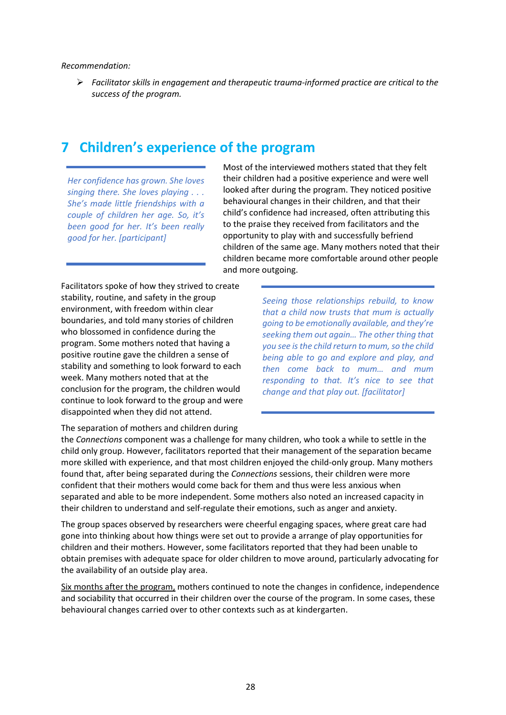#### *Recommendation:*

 *Facilitator skills in engagement and therapeutic trauma-informed practice are critical to the success of the program.*

# <span id="page-31-0"></span>**7 Children's experience of the program**

*Her confidence has grown. She loves singing there. She loves playing . . . She's made little friendships with a couple of children her age. So, it's been good for her. It's been really good for her. [participant]*

Most of the interviewed mothers stated that they felt their children had a positive experience and were well looked after during the program. They noticed positive behavioural changes in their children, and that their child's confidence had increased, often attributing this to the praise they received from facilitators and the opportunity to play with and successfully befriend children of the same age. Many mothers noted that their children became more comfortable around other people and more outgoing.

Facilitators spoke of how they strived to create stability, routine, and safety in the group environment, with freedom within clear boundaries, and told many stories of children who blossomed in confidence during the program. Some mothers noted that having a positive routine gave the children a sense of stability and something to look forward to each week. Many mothers noted that at the conclusion for the program, the children would continue to look forward to the group and were disappointed when they did not attend.

*Seeing those relationships rebuild, to know that a child now trusts that mum is actually going to be emotionally available, and they're seeking them out again… The other thing that you see is the child return to mum, so the child being able to go and explore and play, and then come back to mum… and mum responding to that. It's nice to see that change and that play out. [facilitator]*

The separation of mothers and children during

the *Connections* component was a challenge for many children, who took a while to settle in the child only group. However, facilitators reported that their management of the separation became more skilled with experience, and that most children enjoyed the child-only group. Many mothers found that, after being separated during the *Connections* sessions, their children were more confident that their mothers would come back for them and thus were less anxious when separated and able to be more independent. Some mothers also noted an increased capacity in their children to understand and self-regulate their emotions, such as anger and anxiety.

The group spaces observed by researchers were cheerful engaging spaces, where great care had gone into thinking about how things were set out to provide a arrange of play opportunities for children and their mothers. However, some facilitators reported that they had been unable to obtain premises with adequate space for older children to move around, particularly advocating for the availability of an outside play area.

Six months after the program, mothers continued to note the changes in confidence, independence and sociability that occurred in their children over the course of the program. In some cases, these behavioural changes carried over to other contexts such as at kindergarten.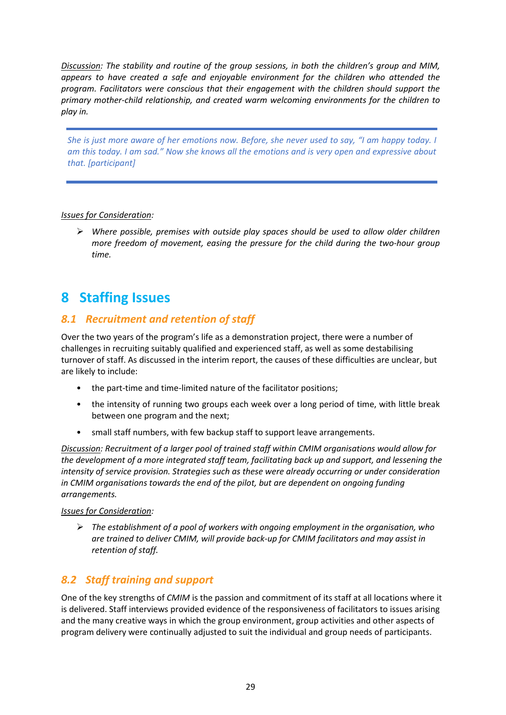*Discussion: The stability and routine of the group sessions, in both the children's group and MIM, appears to have created a safe and enjoyable environment for the children who attended the program. Facilitators were conscious that their engagement with the children should support the primary mother-child relationship, and created warm welcoming environments for the children to play in.* 

*She is just more aware of her emotions now. Before, she never used to say, "I am happy today. I am this today. I am sad." Now she knows all the emotions and is very open and expressive about that. [participant]*

#### *Issues for Consideration:*

 *Where possible, premises with outside play spaces should be used to allow older children more freedom of movement, easing the pressure for the child during the two-hour group time.*

# <span id="page-32-0"></span>**8 Staffing Issues**

### <span id="page-32-1"></span>*8.1 Recruitment and retention of staff*

Over the two years of the program's life as a demonstration project, there were a number of challenges in recruiting suitably qualified and experienced staff, as well as some destabilising turnover of staff. As discussed in the interim report, the causes of these difficulties are unclear, but are likely to include:

- the part-time and time-limited nature of the facilitator positions;
- the intensity of running two groups each week over a long period of time, with little break between one program and the next;
- small staff numbers, with few backup staff to support leave arrangements.

*Discussion: Recruitment of a larger pool of trained staff within CMIM organisations would allow for the development of a more integrated staff team, facilitating back up and support, and lessening the intensity of service provision. Strategies such as these were already occurring or under consideration in CMIM organisations towards the end of the pilot, but are dependent on ongoing funding arrangements.*

#### *Issues for Consideration:*

 *The establishment of a pool of workers with ongoing employment in the organisation, who are trained to deliver CMIM, will provide back-up for CMIM facilitators and may assist in retention of staff.*

### <span id="page-32-2"></span>*8.2 Staff training and support*

One of the key strengths of *CMIM* is the passion and commitment of its staff at all locations where it is delivered. Staff interviews provided evidence of the responsiveness of facilitators to issues arising and the many creative ways in which the group environment, group activities and other aspects of program delivery were continually adjusted to suit the individual and group needs of participants.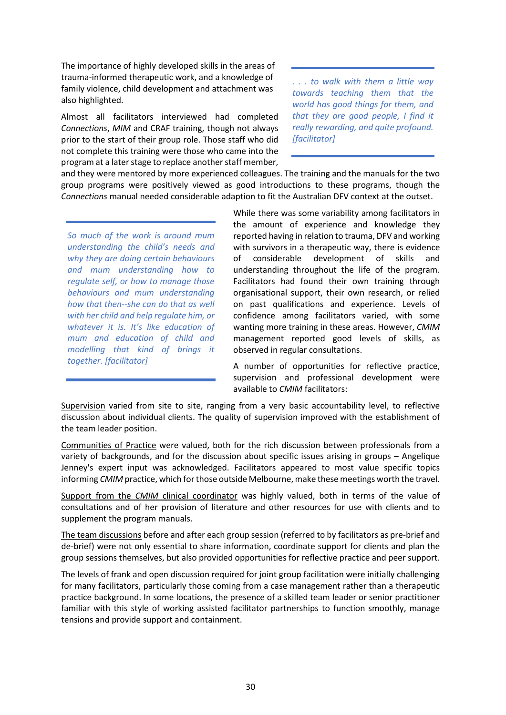The importance of highly developed skills in the areas of trauma-informed therapeutic work, and a knowledge of family violence, child development and attachment was also highlighted.

Almost all facilitators interviewed had completed *Connections*, *MIM* and CRAF training, though not always prior to the start of their group role. Those staff who did not complete this training were those who came into the program at a later stage to replace another staff member, *. . . to walk with them a little way towards teaching them that the world has good things for them, and that they are good people, I find it really rewarding, and quite profound. [facilitator]*

and they were mentored by more experienced colleagues. The training and the manuals for the two group programs were positively viewed as good introductions to these programs, though the *Connections* manual needed considerable adaption to fit the Australian DFV context at the outset.

*So much of the work is around mum understanding the child's needs and why they are doing certain behaviours and mum understanding how to regulate self, or how to manage those behaviours and mum understanding how that then--she can do that as well with her child and help regulate him, or whatever it is. It's like education of mum and education of child and modelling that kind of brings it together. [facilitator]*

While there was some variability among facilitators in the amount of experience and knowledge they reported having in relation to trauma, DFV and working with survivors in a therapeutic way, there is evidence of considerable development of skills and understanding throughout the life of the program. Facilitators had found their own training through organisational support, their own research, or relied on past qualifications and experience. Levels of confidence among facilitators varied, with some wanting more training in these areas. However, *CMIM* management reported good levels of skills, as observed in regular consultations.

A number of opportunities for reflective practice, supervision and professional development were available to *CMIM* facilitators:

Supervision varied from site to site, ranging from a very basic accountability level, to reflective discussion about individual clients. The quality of supervision improved with the establishment of the team leader position.

Communities of Practice were valued, both for the rich discussion between professionals from a variety of backgrounds, and for the discussion about specific issues arising in groups – Angelique Jenney's expert input was acknowledged. Facilitators appeared to most value specific topics informing *CMIM* practice, which for those outside Melbourne, make these meetings worth the travel.

Support from the *CMIM* clinical coordinator was highly valued, both in terms of the value of consultations and of her provision of literature and other resources for use with clients and to supplement the program manuals.

The team discussions before and after each group session (referred to by facilitators as pre-brief and de-brief) were not only essential to share information, coordinate support for clients and plan the group sessions themselves, but also provided opportunities for reflective practice and peer support.

The levels of frank and open discussion required for joint group facilitation were initially challenging for many facilitators, particularly those coming from a case management rather than a therapeutic practice background. In some locations, the presence of a skilled team leader or senior practitioner familiar with this style of working assisted facilitator partnerships to function smoothly, manage tensions and provide support and containment.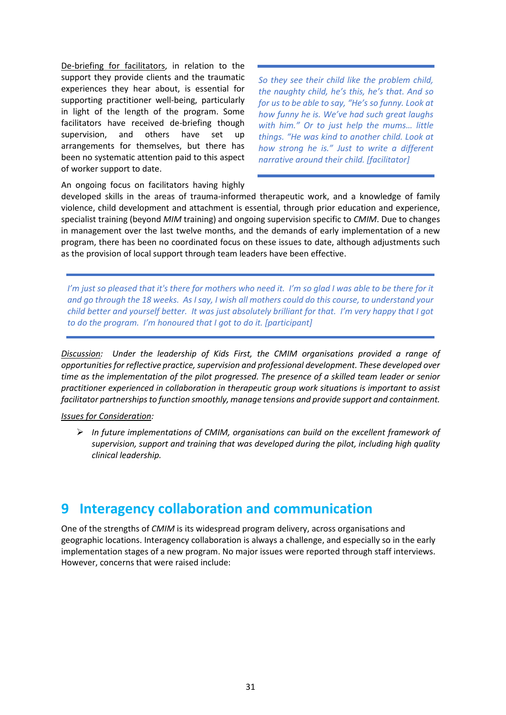De-briefing for facilitators, in relation to the support they provide clients and the traumatic experiences they hear about, is essential for supporting practitioner well-being, particularly in light of the length of the program. Some facilitators have received de-briefing though supervision, and others have set up arrangements for themselves, but there has been no systematic attention paid to this aspect of worker support to date.

*So they see their child like the problem child, the naughty child, he's this, he's that. And so for us to be able to say, "He's so funny. Look at how funny he is. We've had such great laughs with him." Or to just help the mums… little things. "He was kind to another child. Look at how strong he is." Just to write a different narrative around their child. [facilitator]*

An ongoing focus on facilitators having highly

developed skills in the areas of trauma-informed therapeutic work, and a knowledge of family violence, child development and attachment is essential, through prior education and experience, specialist training (beyond *MIM* training) and ongoing supervision specific to *CMIM*. Due to changes in management over the last twelve months, and the demands of early implementation of a new program, there has been no coordinated focus on these issues to date, although adjustments such as the provision of local support through team leaders have been effective.

*I'm just so pleased that it's there for mothers who need it. I'm so glad I was able to be there for it and go through the 18 weeks. As I say, I wish all mothers could do this course, to understand your child better and yourself better. It was just absolutely brilliant for that. I'm very happy that I got to do the program. I'm honoured that I got to do it. [participant]*

*Discussion: Under the leadership of Kids First, the CMIM organisations provided a range of opportunities for reflective practice, supervision and professional development. These developed over time as the implementation of the pilot progressed. The presence of a skilled team leader or senior practitioner experienced in collaboration in therapeutic group work situations is important to assist facilitator partnerships to function smoothly, manage tensions and provide support and containment.* 

#### *Issues for Consideration:*

 *In future implementations of CMIM, organisations can build on the excellent framework of supervision, support and training that was developed during the pilot, including high quality clinical leadership.*

# <span id="page-34-0"></span>**9 Interagency collaboration and communication**

One of the strengths of *CMIM* is its widespread program delivery, across organisations and geographic locations. Interagency collaboration is always a challenge, and especially so in the early implementation stages of a new program. No major issues were reported through staff interviews. However, concerns that were raised include: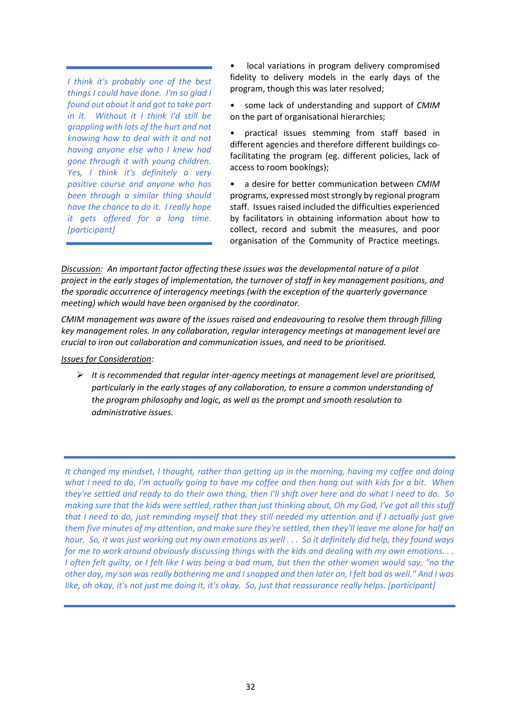*I think it's probably one of the best things I could have done. I'm so glad I found out about it and got to take part in it. Without it I think I'd still be grappling with lots of the hurt and not knowing how to deal with it and not having anyone else who I knew had gone through it with young children. Yes, I think it's definitely a very positive course and anyone who has been through a similar thing should have the chance to do it. I really hope it gets offered for a long time. [participant]*

local variations in program delivery compromised fidelity to delivery models in the early days of the program, though this was later resolved;

some lack of understanding and support of *CMIM* on the part of organisational hierarchies;

• practical issues stemming from staff based in different agencies and therefore different buildings cofacilitating the program (eg. different policies, lack of access to room bookings);

• a desire for better communication between *CMIM* programs, expressed most strongly by regional program staff. Issues raised included the difficulties experienced by facilitators in obtaining information about how to collect, record and submit the measures, and poor organisation of the Community of Practice meetings.

*Discussion: An important factor affecting these issues was the developmental nature of a pilot project in the early stages of implementation, the turnover of staff in key management positions, and the sporadic occurrence of interagency meetings (with the exception of the quarterly governance meeting) which would have been organised by the coordinator.*

*CMIM management was aware of the issues raised and endeavouring to resolve them through filling key management roles. In any collaboration, regular interagency meetings at management level are crucial to iron out collaboration and communication issues, and need to be prioritised.*

*Issues for Consideration:*

 *It is recommended that regular inter-agency meetings at management level are prioritised, particularly in the early stages of any collaboration, to ensure a common understanding of the program philosophy and logic, as well as the prompt and smooth resolution to administrative issues.*

*It changed my mindset, I thought, rather than getting up in the morning, having my coffee and doing what I need to do, I'm actually going to have my coffee and then hang out with kids for a bit. When they're settled and ready to do their own thing, then I'll shift over here and do what I need to do. So making sure that the kids were settled, rather than just thinking about, Oh my God, I've got all this stuff that I need to do, just reminding myself that they still needed my attention and if I actually just give them five minutes of my attention, and make sure they're settled, then they'll leave me alone for half an hour. So, it was just working out my own emotions as well . . . So it definitely did help, they found ways for me to work around obviously discussing things with the kids and dealing with my own emotions. . . I often felt guilty, or I felt like I was being a bad mum, but then the other women would say, "no the other day, my son was really bothering me and I snapped and then later on, I felt bad as well." And I was like, oh okay, it's not just me doing it, it's okay. So, just that reassurance really helps. [participant]*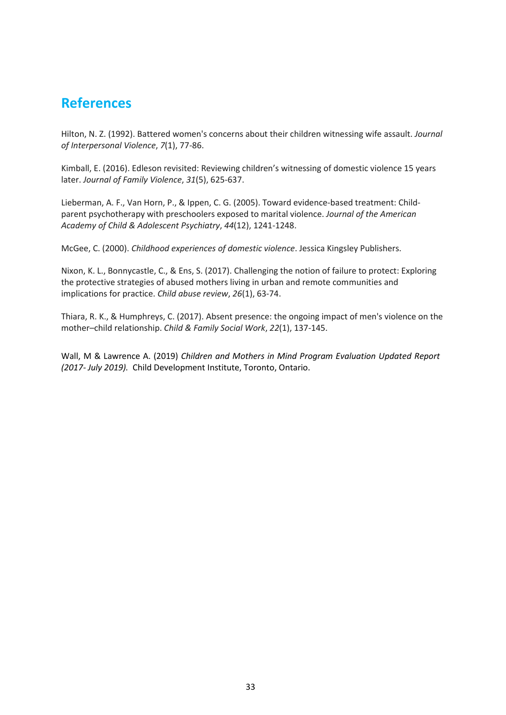# <span id="page-36-0"></span>**References**

Hilton, N. Z. (1992). Battered women's concerns about their children witnessing wife assault. *Journal of Interpersonal Violence*, *7*(1), 77-86.

Kimball, E. (2016). Edleson revisited: Reviewing children's witnessing of domestic violence 15 years later. *Journal of Family Violence*, *31*(5), 625-637.

Lieberman, A. F., Van Horn, P., & Ippen, C. G. (2005). Toward evidence-based treatment: Childparent psychotherapy with preschoolers exposed to marital violence. *Journal of the American Academy of Child & Adolescent Psychiatry*, *44*(12), 1241-1248.

McGee, C. (2000). *Childhood experiences of domestic violence*. Jessica Kingsley Publishers.

Nixon, K. L., Bonnycastle, C., & Ens, S. (2017). Challenging the notion of failure to protect: Exploring the protective strategies of abused mothers living in urban and remote communities and implications for practice. *Child abuse review*, *26*(1), 63-74.

Thiara, R. K., & Humphreys, C. (2017). Absent presence: the ongoing impact of men's violence on the mother–child relationship. *Child & Family Social Work*, *22*(1), 137-145.

Wall, M & Lawrence A. (2019) *Children and Mothers in Mind Program Evaluation Updated Report (2017- July 2019).* Child Development Institute, Toronto, Ontario.